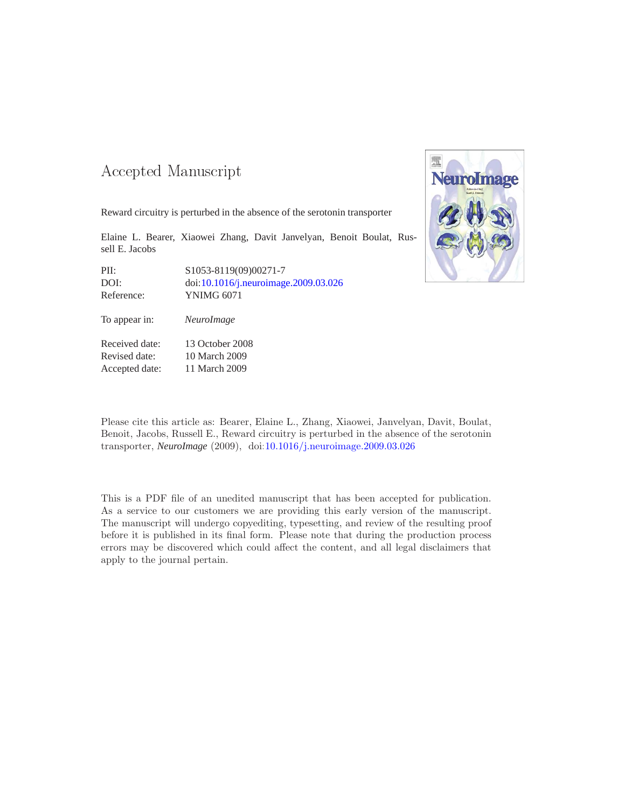### -- -

Reward circuitry is perturbed in the absence of the serotonin transporter

Elaine L. Bearer, Xiaowei Zhang, Davit Janvelyan, Benoit Boulat, Russell E. Jacobs

PII: S1053-8119(09)00271-7 DOI: doi[:10.1016/j.neuroimage.2009.03.026](http://dx.doi.org/10.1016/j.neuroimage.2009.03.026) Reference: YNIMG 6071

To appear in: *NeuroImage*

Received date: 13 October 2008 Revised date: 10 March 2009 Accepted date: 11 March 2009



Please cite this article as: Bearer, Elaine L., Zhang, Xiaowei, Janvelyan, Davit, Boulat, Benoit, Jacobs, Russell E., Reward circuitry is perturbed in the absence of the serotonin transporter, *NeuroImage* (2009), doi[:10.1016/j.neuroimage.2009.03.026](http://dx.doi.org/10.1016/j.neuroimage.2009.03.026)

This is a PDF file of an unedited manuscript that has been accepted for publication. As a service to our customers we are providing this early version of the manuscript. The manuscript will undergo copyediting, typesetting, and review of the resulting proof before it is published in its final form. Please note that during the production process errors may be discovered which could affect the content, and all legal disclaimers that apply to the journal pertain.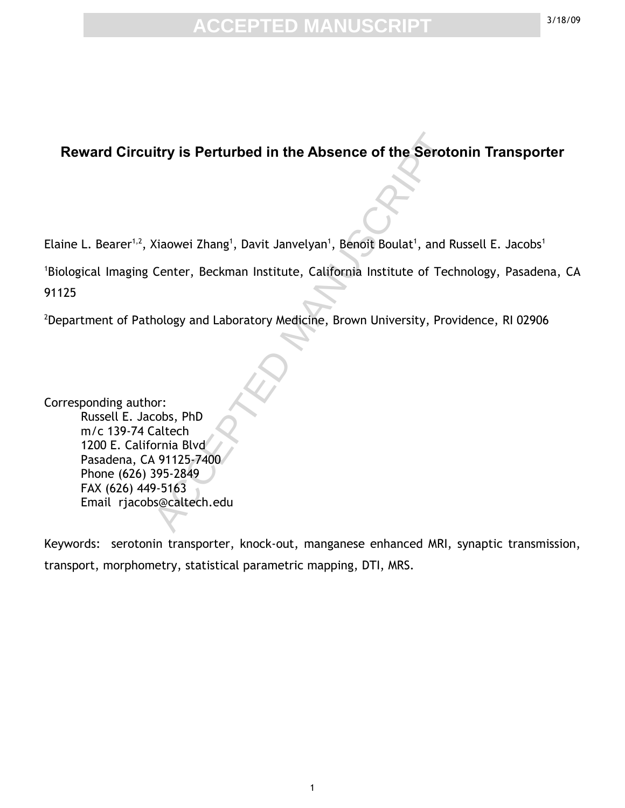### **Reward Circuitry is Perturbed in the Absence of the Serotonin Transporter**

Elaine L. Bearer<sup>1,2</sup>, Xiaowei Zhang<sup>1</sup>, Davit Janvelyan<sup>1</sup>, Benoit Boulat<sup>1</sup>, and Russell E. Jacobs<sup>1</sup>

**The Second Second Second Second Second Second Second Second Second Second Second Section 2**<br>
Accepter, Beckman Institute, California Institute of Tech<br>
acter, Beckman Institute, California Institute of Tech<br>
hology and La <sup>1</sup>Biological Imaging Center, Beckman Institute, California Institute of Technology, Pasadena, CA 91125

<sup>2</sup>Department of Pathology and Laboratory Medicine, Brown University, Providence, RI 02906

Corresponding author: Russell E. Jacobs, PhD m/c 139-74 Caltech 1200 E. California Blvd Pasadena, CA 91125-7400 Phone (626) 395-2849 FAX (626) 449-5163 Email rjacobs@caltech.edu

Keywords: serotonin transporter, knock-out, manganese enhanced MRI, synaptic transmission, transport, morphometry, statistical parametric mapping, DTI, MRS.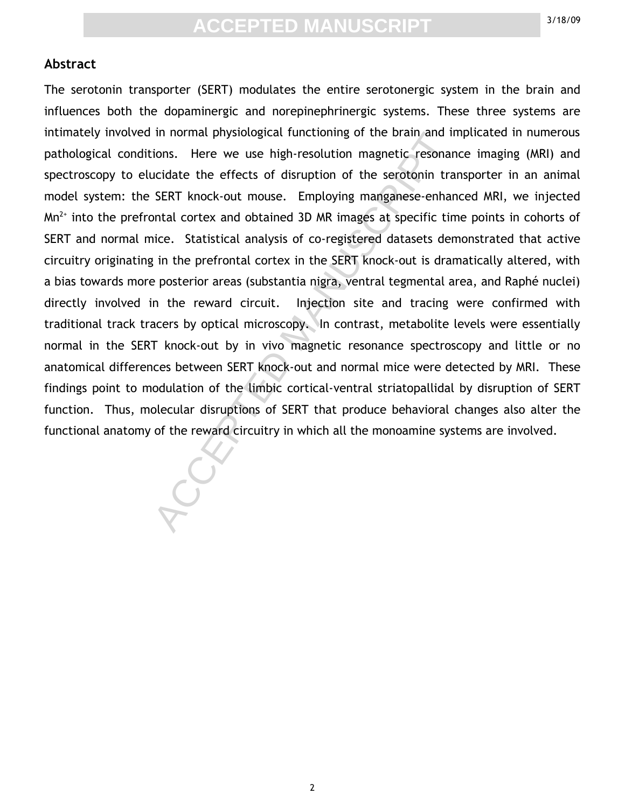#### **Abstract**

In normal physiological runctioning or the brain and ir<br>ions. Here we use high-resolution magnetic resonan<br>acidate the effects of disruption of the serotonin tra<br>SERT knock-out mouse. Employing manganese-enhan<br>ontal cortex The serotonin transporter (SERT) modulates the entire serotonergic system in the brain and influences both the dopaminergic and norepinephrinergic systems. These three systems are intimately involved in normal physiological functioning of the brain and implicated in numerous pathological conditions. Here we use high-resolution magnetic resonance imaging (MRI) and spectroscopy to elucidate the effects of disruption of the serotonin transporter in an animal model system: the SERT knock-out mouse. Employing manganese-enhanced MRI, we injected  $Mn^{2+}$  into the prefrontal cortex and obtained 3D MR images at specific time points in cohorts of SERT and normal mice. Statistical analysis of co-registered datasets demonstrated that active circuitry originating in the prefrontal cortex in the SERT knock-out is dramatically altered, with a bias towards more posterior areas (substantia nigra, ventral tegmental area, and Raphé nuclei) directly involved in the reward circuit. Injection site and tracing were confirmed with traditional track tracers by optical microscopy. In contrast, metabolite levels were essentially normal in the SERT knock-out by in vivo magnetic resonance spectroscopy and little or no anatomical differences between SERT knock-out and normal mice were detected by MRI. These findings point to modulation of the limbic cortical-ventral striatopallidal by disruption of SERT function. Thus, molecular disruptions of SERT that produce behavioral changes also alter the functional anatomy of the reward circuitry in which all the monoamine systems are involved.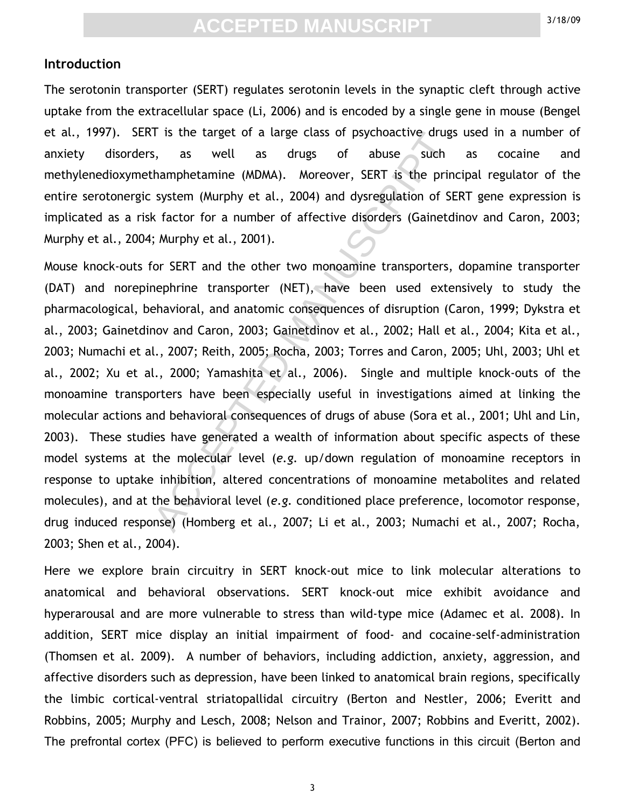#### **Introduction**

The serotonin transporter (SERT) regulates serotonin levels in the synaptic cleft through active uptake from the extracellular space (Li, 2006) and is encoded by a single gene in mouse (Bengel et al., 1997). SERT is the target of a large class of psychoactive drugs used in a number of anxiety disorders, as well as drugs of abuse such as cocaine and methylenedioxymethamphetamine (MDMA). Moreover, SERT is the principal regulator of the entire serotonergic system (Murphy et al., 2004) and dysregulation of SERT gene expression is implicated as a risk factor for a number of affective disorders (Gainetdinov and Caron, 2003; Murphy et al., 2004; Murphy et al., 2001).

First the target or a targe class or psychoactive drugs<br>s, as well as drugs of abuse such<br>hamphetamine (MDMA). Moreover, SERT is the print<br>system (Murphy et al., 2004) and dysregulation of SE<br>k factor for a number of affe Mouse knock-outs for SERT and the other two monoamine transporters, dopamine transporter (DAT) and norepinephrine transporter (NET), have been used extensively to study the pharmacological, behavioral, and anatomic consequences of disruption (Caron, 1999; Dykstra et al., 2003; Gainetdinov and Caron, 2003; Gainetdinov et al., 2002; Hall et al., 2004; Kita et al., 2003; Numachi et al., 2007; Reith, 2005; Rocha, 2003; Torres and Caron, 2005; Uhl, 2003; Uhl et al., 2002; Xu et al., 2000; Yamashita et al., 2006). Single and multiple knock-outs of the monoamine transporters have been especially useful in investigations aimed at linking the molecular actions and behavioral consequences of drugs of abuse (Sora et al., 2001; Uhl and Lin, 2003). These studies have generated a wealth of information about specific aspects of these model systems at the molecular level (*e.g.* up/down regulation of monoamine receptors in response to uptake inhibition, altered concentrations of monoamine metabolites and related molecules), and at the behavioral level (*e.g.* conditioned place preference, locomotor response, drug induced response) (Homberg et al., 2007; Li et al., 2003; Numachi et al., 2007; Rocha, 2003; Shen et al., 2004).

Here we explore brain circuitry in SERT knock-out mice to link molecular alterations to anatomical and behavioral observations. SERT knock-out mice exhibit avoidance and hyperarousal and are more vulnerable to stress than wild-type mice (Adamec et al. 2008). In addition, SERT mice display an initial impairment of food- and cocaine-self-administration (Thomsen et al. 2009). A number of behaviors, including addiction, anxiety, aggression, and affective disorders such as depression, have been linked to anatomical brain regions, specifically the limbic cortical-ventral striatopallidal circuitry (Berton and Nestler, 2006; Everitt and Robbins, 2005; Murphy and Lesch, 2008; Nelson and Trainor, 2007; Robbins and Everitt, 2002). The prefrontal cortex (PFC) is believed to perform executive functions in this circuit (Berton and

3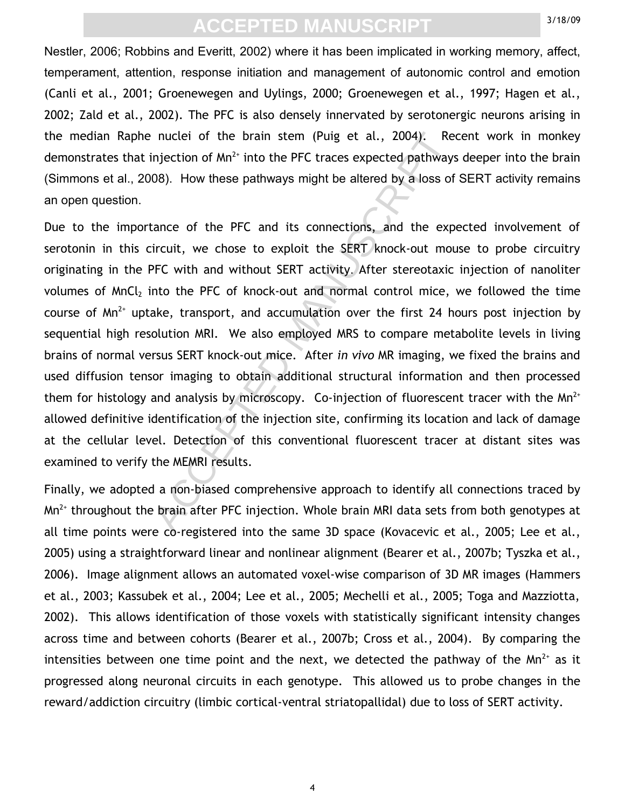Nestler, 2006; Robbins and Everitt, 2002) where it has been implicated in working memory, affect, temperament, attention, response initiation and management of autonomic control and emotion (Canli et al., 2001; Groenewegen and Uylings, 2000; Groenewegen et al., 1997; Hagen et al., 2002; Zald et al., 2002). The PFC is also densely innervated by serotonergic neurons arising in the median Raphe nuclei of the brain stem (Puig et al., 2004). Recent work in monkey demonstrates that injection of  $Mn^{2+}$  into the PFC traces expected pathways deeper into the brain (Simmons et al., 2008). How these pathways might be altered by a loss of SERT activity remains an open question.

nuclei of the brain stem (Puig et al., 2004). Requised in origination of Mn<sup>2+</sup> into the PFC traces expected pathways (08). How these pathways might be altered by a loss of anace of the PFC and its connections, and the exp Due to the importance of the PFC and its connections, and the expected involvement of serotonin in this circuit, we chose to exploit the SERT knock-out mouse to probe circuitry originating in the PFC with and without SERT activity. After stereotaxic injection of nanoliter volumes of  $MnCl<sub>2</sub>$  into the PFC of knock-out and normal control mice, we followed the time course of  $Mn^{2+}$  uptake, transport, and accumulation over the first 24 hours post injection by sequential high resolution MRI. We also employed MRS to compare metabolite levels in living brains of normal versus SERT knock-out mice. After *in vivo* MR imaging, we fixed the brains and used diffusion tensor imaging to obtain additional structural information and then processed them for histology and analysis by microscopy. Co-injection of fluorescent tracer with the  $Mn^{2+}$ allowed definitive identification of the injection site, confirming its location and lack of damage at the cellular level. Detection of this conventional fluorescent tracer at distant sites was examined to verify the MEMRI results.

Finally, we adopted a non-biased comprehensive approach to identify all connections traced by Mn<sup>2+</sup> throughout the brain after PFC injection. Whole brain MRI data sets from both genotypes at all time points were co-registered into the same 3D space (Kovacevic et al., 2005; Lee et al., 2005) using a straightforward linear and nonlinear alignment (Bearer et al., 2007b; Tyszka et al., 2006). Image alignment allows an automated voxel-wise comparison of 3D MR images (Hammers et al., 2003; Kassubek et al., 2004; Lee et al., 2005; Mechelli et al., 2005; Toga and Mazziotta, 2002). This allows identification of those voxels with statistically significant intensity changes across time and between cohorts (Bearer et al., 2007b; Cross et al., 2004). By comparing the intensities between one time point and the next, we detected the pathway of the  $Mn^{2+}$  as it progressed along neuronal circuits in each genotype. This allowed us to probe changes in the reward/addiction circuitry (limbic cortical-ventral striatopallidal) due to loss of SERT activity.

4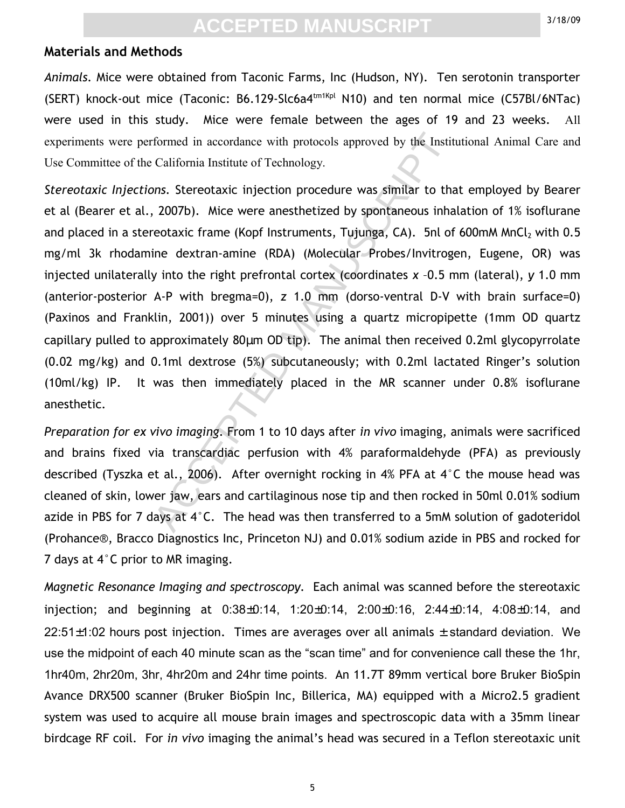#### **Materials and Methods**

*Animals.* Mice were obtained from Taconic Farms, Inc (Hudson, NY). Ten serotonin transporter (SERT) knock-out mice (Taconic: B6.129-Slc6a4tm1Kpl N10) and ten normal mice (C57Bl/6NTac) were used in this study. Mice were female between the ages of 19 and 23 weeks. All experiments were performed in accordance with protocols approved by the Institutional Animal Care and Use Committee of the California Institute of Technology.

formed in accordance with protocols approved by the Institute California Institute of Technology.<br>
2007b). Mice were anesthetized by spontaneous inha<br>
2007b). Mice were anesthetized by spontaneous inha<br>
reotaxic frame (Kop *Stereotaxic Injections.* Stereotaxic injection procedure was similar to that employed by Bearer et al (Bearer et al., 2007b). Mice were anesthetized by spontaneous inhalation of 1% isoflurane and placed in a stereotaxic frame (Kopf Instruments, Tujunga, CA). 5nl of 600mM MnCl<sub>2</sub> with 0.5 mg/ml 3k rhodamine dextran-amine (RDA) (Molecular Probes/Invitrogen, Eugene, OR) was injected unilaterally into the right prefrontal cortex (coordinates *x* –0.5 mm (lateral), *y* 1.0 mm (anterior-posterior A-P with bregma=0), *z* 1.0 mm (dorso-ventral D-V with brain surface=0) (Paxinos and Franklin, 2001)) over 5 minutes using a quartz micropipette (1mm OD quartz capillary pulled to approximately 80µm OD tip). The animal then received 0.2ml glycopyrrolate (0.02 mg/kg) and 0.1ml dextrose (5%) subcutaneously; with 0.2ml lactated Ringer's solution (10ml/kg) IP. It was then immediately placed in the MR scanner under 0.8% isoflurane anesthetic.

*Preparation for ex vivo imaging*. From 1 to 10 days after *in vivo* imaging, animals were sacrificed and brains fixed via transcardiac perfusion with 4% paraformaldehyde (PFA) as previously described (Tyszka et al., 2006). After overnight rocking in 4% PFA at 4°C the mouse head was cleaned of skin, lower jaw, ears and cartilaginous nose tip and then rocked in 50ml 0.01% sodium azide in PBS for 7 days at 4°C. The head was then transferred to a 5mM solution of gadoteridol (Prohance®, Bracco Diagnostics Inc, Princeton NJ) and 0.01% sodium azide in PBS and rocked for 7 days at 4°C prior to MR imaging.

*Magnetic Resonance Imaging and spectroscopy.* Each animal was scanned before the stereotaxic injection; and beginning at 0:38±0:14, 1:20±0:14, 2:00±0:16, 2:44±0:14, 4:08±0:14, and  $22:51\pm1:02$  hours post injection. Times are averages over all animals  $\pm$  standard deviation. We use the midpoint of each 40 minute scan as the "scan time" and for convenience call these the 1hr, 1hr40m, 2hr20m, 3hr, 4hr20m and 24hr time points. An 11.7T 89mm vertical bore Bruker BioSpin Avance DRX500 scanner (Bruker BioSpin Inc, Billerica, MA) equipped with a Micro2.5 gradient system was used to acquire all mouse brain images and spectroscopic data with a 35mm linear birdcage RF coil. For *in vivo* imaging the animal's head was secured in a Teflon stereotaxic unit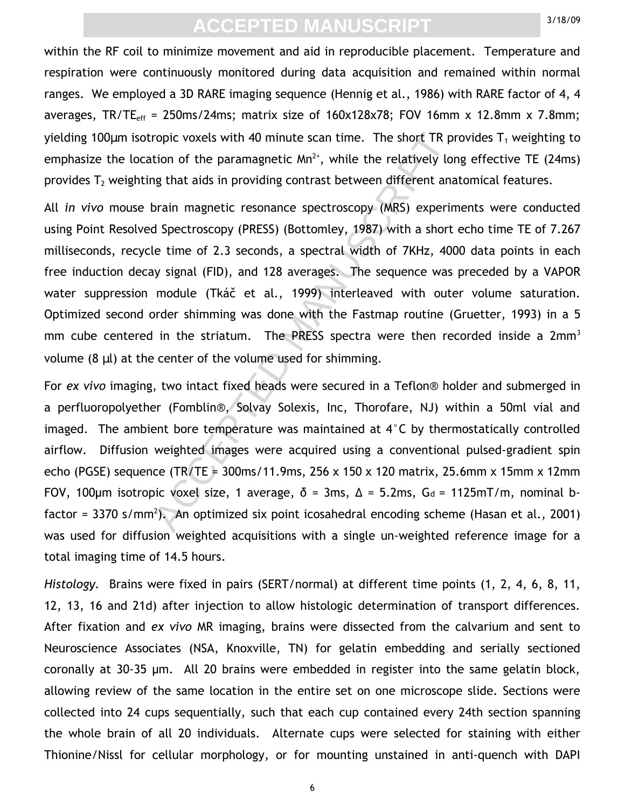within the RF coil to minimize movement and aid in reproducible placement. Temperature and respiration were continuously monitored during data acquisition and remained within normal ranges. We employed a 3D RARE imaging sequence (Hennig et al., 1986) with RARE factor of 4, 4 averages, TR/TE<sub>eff</sub> = 250ms/24ms; matrix size of 160x128x78; FOV 16mm x 12.8mm x 7.8mm; yielding 100 $\mu$ m isotropic voxels with 40 minute scan time. The short TR provides  $T_1$  weighting to emphasize the location of the paramagnetic  $Mn^{2+}$ , while the relatively long effective TE (24ms) provides  $T<sub>2</sub>$  weighting that aids in providing contrast between different anatomical features.

ropic voxels with 40 minute scan time. The short TR pr<br>tion of the paramagnetic Mn<sup>2+</sup>, while the relatively lor<br>ng that aids in providing contrast between different ana<br>brain magnetic resonance spectroscopy (MRS) experim All *in vivo* mouse brain magnetic resonance spectroscopy (MRS) experiments were conducted using Point Resolved Spectroscopy (PRESS) (Bottomley, 1987) with a short echo time TE of 7.267 milliseconds, recycle time of 2.3 seconds, a spectral width of 7KHz, 4000 data points in each free induction decay signal (FID), and 128 averages. The sequence was preceded by a VAPOR water suppression module (Tkáč et al., 1999) interleaved with outer volume saturation. Optimized second order shimming was done with the Fastmap routine (Gruetter, 1993) in a 5 mm cube centered in the striatum. The PRESS spectra were then recorded inside a  $2mm<sup>3</sup>$ volume (8 µl) at the center of the volume used for shimming.

For *ex vivo* imaging, two intact fixed heads were secured in a Teflon® holder and submerged in a perfluoropolyether (Fomblin®, Solvay Solexis, Inc, Thorofare, NJ) within a 50ml vial and imaged. The ambient bore temperature was maintained at 4°C by thermostatically controlled airflow. Diffusion weighted images were acquired using a conventional pulsed-gradient spin echo (PGSE) sequence (TR/TE =  $300$ ms/11.9ms, 256 x 150 x 120 matrix, 25.6mm x 15mm x 12mm FOV, 100μm isotropic voxel size, 1 average,  $\delta$  = 3ms,  $\Delta$  = 5.2ms,  $G_d$  = 1125mT/m, nominal bfactor = 3370 s/mm<sup>2</sup>). An optimized six point icosahedral encoding scheme (Hasan et al., 2001) was used for diffusion weighted acquisitions with a single un-weighted reference image for a total imaging time of 14.5 hours.

*Histology.* Brains were fixed in pairs (SERT/normal) at different time points (1, 2, 4, 6, 8, 11, 12, 13, 16 and 21d) after injection to allow histologic determination of transport differences. After fixation and *ex vivo* MR imaging, brains were dissected from the calvarium and sent to Neuroscience Associates (NSA, Knoxville, TN) for gelatin embedding and serially sectioned coronally at 30-35 µm. All 20 brains were embedded in register into the same gelatin block, allowing review of the same location in the entire set on one microscope slide. Sections were collected into 24 cups sequentially, such that each cup contained every 24th section spanning the whole brain of all 20 individuals. Alternate cups were selected for staining with either Thionine/Nissl for cellular morphology, or for mounting unstained in anti-quench with DAPI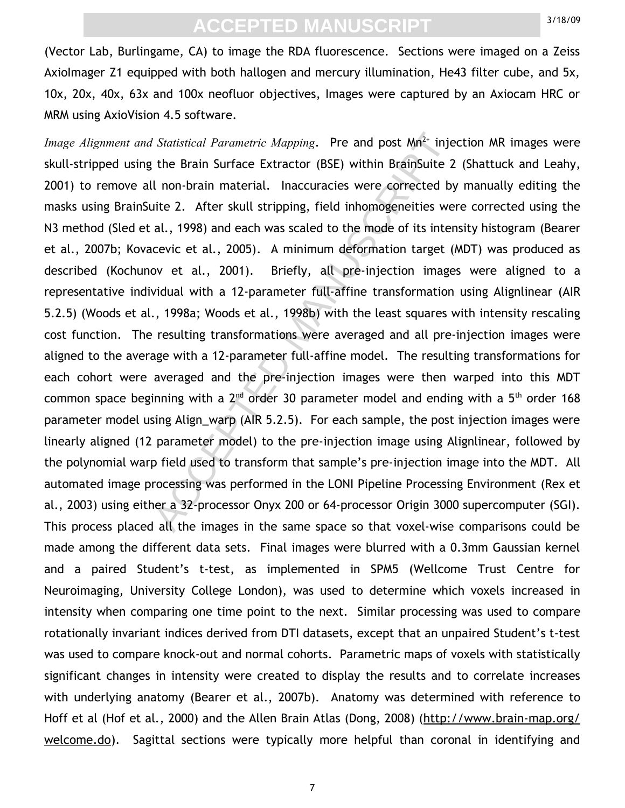(Vector Lab, Burlingame, CA) to image the RDA fluorescence. Sections were imaged on a Zeiss AxioImager Z1 equipped with both hallogen and mercury illumination, He43 filter cube, and 5x, 10x, 20x, 40x, 63x and 100x neofluor objectives, Images were captured by an Axiocam HRC or MRM using AxioVision 4.5 software.

Statistical Parametric Mapping. Pre and post Mn<sup>2</sup><sup>2</sup> inje<br>the Brain Surface Extractor (BSE) within BrainSuite 2<br>1 non-brain material. Inaccuracies were corrected by<br>ite 2. After skull stripping, field inhomogeneities we<br> *Image Alignment and Statistical Parametric Mapping*. Pre and post Mn<sup>2+</sup> injection MR images were skull-stripped using the Brain Surface Extractor (BSE) within BrainSuite 2 (Shattuck and Leahy, 2001) to remove all non-brain material. Inaccuracies were corrected by manually editing the masks using BrainSuite 2. After skull stripping, field inhomogeneities were corrected using the N3 method (Sled et al., 1998) and each was scaled to the mode of its intensity histogram (Bearer et al., 2007b; Kovacevic et al., 2005). A minimum deformation target (MDT) was produced as described (Kochunov et al., 2001). Briefly, all pre-injection images were aligned to a representative individual with a 12-parameter full-affine transformation using Alignlinear (AIR 5.2.5) (Woods et al., 1998a; Woods et al., 1998b) with the least squares with intensity rescaling cost function. The resulting transformations were averaged and all pre-injection images were aligned to the average with a 12-parameter full-affine model. The resulting transformations for each cohort were averaged and the pre-injection images were then warped into this MDT common space beginning with a  $2<sup>nd</sup>$  order 30 parameter model and ending with a  $5<sup>th</sup>$  order 168 parameter model using Align\_warp (AIR 5.2.5). For each sample, the post injection images were linearly aligned (12 parameter model) to the pre-injection image using Alignlinear, followed by the polynomial warp field used to transform that sample's pre-injection image into the MDT. All automated image processing was performed in the LONI Pipeline Processing Environment (Rex et al., 2003) using either a 32-processor Onyx 200 or 64-processor Origin 3000 supercomputer (SGI). This process placed all the images in the same space so that voxel-wise comparisons could be made among the different data sets. Final images were blurred with a 0.3mm Gaussian kernel and a paired Student's t-test, as implemented in SPM5 (Wellcome Trust Centre for Neuroimaging, University College London), was used to determine which voxels increased in intensity when comparing one time point to the next. Similar processing was used to compare rotationally invariant indices derived from DTI datasets, except that an unpaired Student's t-test was used to compare knock-out and normal cohorts. Parametric maps of voxels with statistically significant changes in intensity were created to display the results and to correlate increases with underlying anatomy (Bearer et al., 2007b). Anatomy was determined with reference to Hoff et al (Hof et al., 2000) and the Allen Brain Atlas (Dong, 2008) [\(http://www.brain-map.org/](http://www.brain-map.org/welcome.do) [welcome.do\)](http://www.brain-map.org/welcome.do). Sagittal sections were typically more helpful than coronal in identifying and

7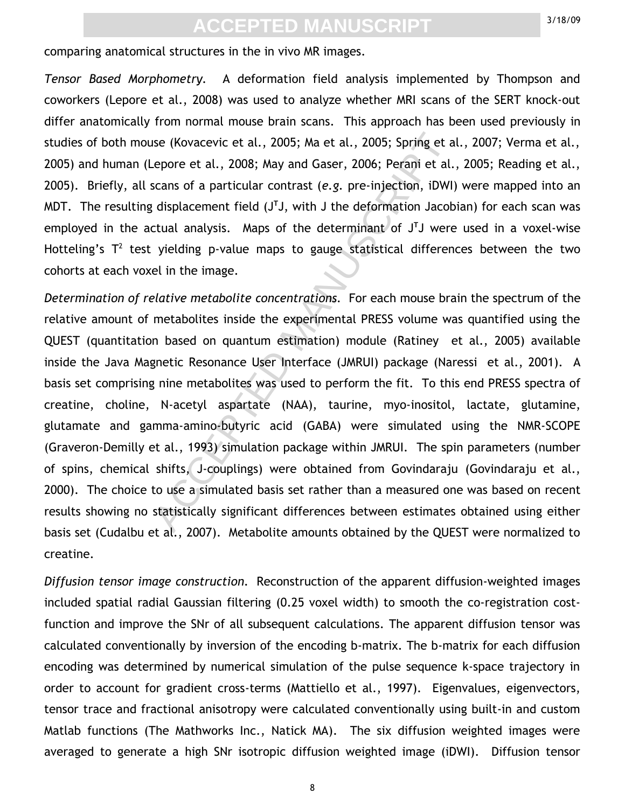comparing anatomical structures in the in vivo MR images.

*Tensor Based Morphometry.* A deformation field analysis implemented by Thompson and coworkers (Lepore et al., 2008) was used to analyze whether MRI scans of the SERT knock-out differ anatomically from normal mouse brain scans. This approach has been used previously in studies of both mouse (Kovacevic et al., 2005; Ma et al., 2005; Spring et al., 2007; Verma et al., 2005) and human (Lepore et al., 2008; May and Gaser, 2006; Perani et al., 2005; Reading et al., 2005). Briefly, all scans of a particular contrast (*e.g.* pre-injection, iDWI) were mapped into an MDT. The resulting displacement field (J**<sup>T</sup>** J, with J the deformation Jacobian) for each scan was employed in the actual analysis. Maps of the determinant of J**<sup>T</sup>** J were used in a voxel-wise Hotteling's  $T^2$  test yielding p-value maps to gauge statistical differences between the two cohorts at each voxel in the image.

Ise (Kovacevic et al., 2005; Ma et al., 2005; Spring et al.<br>
epore et al., 2008; May and Gaser, 2006; Perani et al.<br>
scans of a particular contrast (e.g. pre-injection, iDWI)<br>
displacement field (J<sup>T</sup>J, with J the deformat *Determination of relative metabolite concentrations.* For each mouse brain the spectrum of the relative amount of metabolites inside the experimental PRESS volume was quantified using the QUEST (quantitation based on quantum estimation) module (Ratiney et al., 2005) available inside the Java Magnetic Resonance User Interface (JMRUI) package (Naressi et al., 2001). A basis set comprising nine metabolites was used to perform the fit. To this end PRESS spectra of creatine, choline, N-acetyl aspartate (NAA), taurine, myo-inositol, lactate, glutamine, glutamate and gamma-amino-butyric acid (GABA) were simulated using the NMR-SCOPE (Graveron-Demilly et al., 1993) simulation package within JMRUI. The spin parameters (number of spins, chemical shifts, J-couplings) were obtained from Govindaraju (Govindaraju et al., 2000). The choice to use a simulated basis set rather than a measured one was based on recent results showing no statistically significant differences between estimates obtained using either basis set (Cudalbu et al., 2007). Metabolite amounts obtained by the QUEST were normalized to creatine.

*Diffusion tensor image construction.* Reconstruction of the apparent diffusion-weighted images included spatial radial Gaussian filtering (0.25 voxel width) to smooth the co-registration costfunction and improve the SNr of all subsequent calculations. The apparent diffusion tensor was calculated conventionally by inversion of the encoding b-matrix. The b-matrix for each diffusion encoding was determined by numerical simulation of the pulse sequence k-space trajectory in order to account for gradient cross-terms (Mattiello et al., 1997). Eigenvalues, eigenvectors, tensor trace and fractional anisotropy were calculated conventionally using built-in and custom Matlab functions (The Mathworks Inc., Natick MA). The six diffusion weighted images were averaged to generate a high SNr isotropic diffusion weighted image (iDWI). Diffusion tensor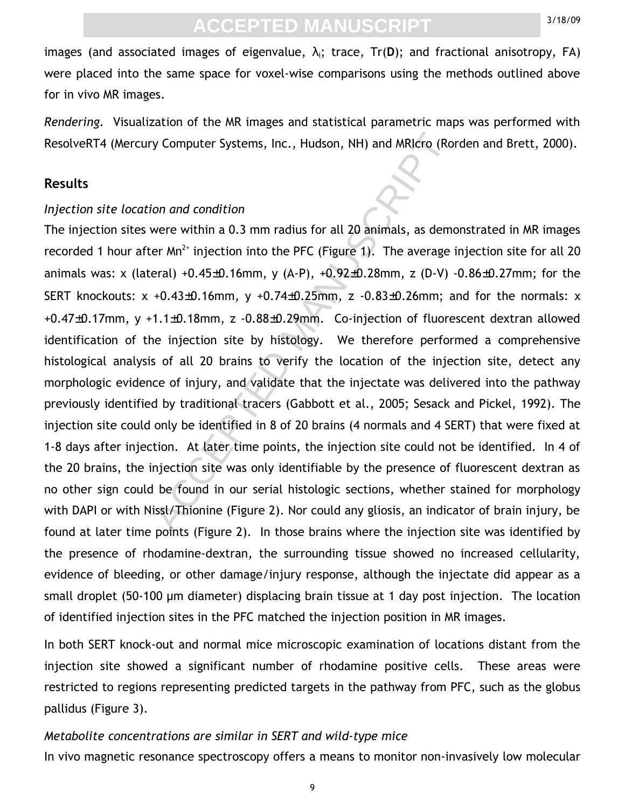images (and associated images of eigenvalue,  $\lambda_i$ ; trace,  $Tr(D)$ ; and fractional anisotropy, FA) were placed into the same space for voxel-wise comparisons using the methods outlined above for in vivo MR images.

*Rendering.* Visualization of the MR images and statistical parametric maps was performed with ResolveRT4 (Mercury Computer Systems, Inc., Hudson, NH) and MRIcro (Rorden and Brett, 2000).

#### **Results**

#### *Injection site location and condition*

y Computer Systems, Inc., Hudson, NH) and MRIcro (Romotom and condition<br>
were within a 0.3 mm radius for all 20 animals, as demoter Mn<sup>2</sup><sup>2</sup> injection into the PFC (Figure 1). The average is<br>
eral) +0.45±0.16mm, y (A-P), The injection sites were within a 0.3 mm radius for all 20 animals, as demonstrated in MR images recorded 1 hour after Mn<sup>2+</sup> injection into the PFC (Figure 1). The average injection site for all 20 animals was: x (lateral) +0.45 $\pm$ 0.16mm, y (A-P), +0.92 $\pm$ 0.28mm, z (D-V) -0.86 $\pm$ 0.27mm; for the SERT knockouts:  $x +0.43\pm0.16$ mm,  $y +0.74\pm0.25$ mm,  $z -0.83\pm0.26$ mm; and for the normals: x +0.47±0.17mm, y +1.1±0.18mm, z -0.88±0.29mm. Co-injection of fluorescent dextran allowed identification of the injection site by histology. We therefore performed a comprehensive histological analysis of all 20 brains to verify the location of the injection site, detect any morphologic evidence of injury, and validate that the injectate was delivered into the pathway previously identified by traditional tracers (Gabbott et al., 2005; Sesack and Pickel, 1992). The injection site could only be identified in 8 of 20 brains (4 normals and 4 SERT) that were fixed at 1-8 days after injection. At later time points, the injection site could not be identified. In 4 of the 20 brains, the injection site was only identifiable by the presence of fluorescent dextran as no other sign could be found in our serial histologic sections, whether stained for morphology with DAPI or with Nissl/Thionine (Figure 2). Nor could any gliosis, an indicator of brain injury, be found at later time points (Figure 2). In those brains where the injection site was identified by the presence of rhodamine-dextran, the surrounding tissue showed no increased cellularity, evidence of bleeding, or other damage/injury response, although the injectate did appear as a small droplet (50-100 µm diameter) displacing brain tissue at 1 day post injection. The location of identified injection sites in the PFC matched the injection position in MR images.

In both SERT knock-out and normal mice microscopic examination of locations distant from the injection site showed a significant number of rhodamine positive cells. These areas were restricted to regions representing predicted targets in the pathway from PFC, such as the globus pallidus (Figure 3).

### *Metabolite concentrations are similar in SERT and wild-type mice*

In vivo magnetic resonance spectroscopy offers a means to monitor non-invasively low molecular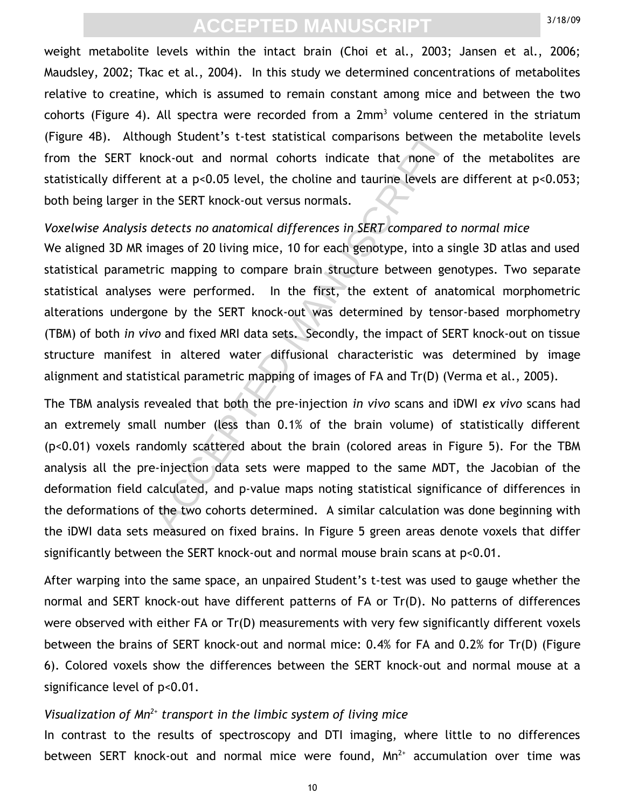weight metabolite levels within the intact brain (Choi et al., 2003; Jansen et al., 2006; Maudsley, 2002; Tkac et al., 2004). In this study we determined concentrations of metabolites relative to creatine, which is assumed to remain constant among mice and between the two cohorts (Figure 4). All spectra were recorded from a  $2mm<sup>3</sup>$  volume centered in the striatum (Figure 4B). Although Student's t-test statistical comparisons between the metabolite levels from the SERT knock-out and normal cohorts indicate that none of the metabolites are statistically different at a p<0.05 level, the choline and taurine levels are different at p<0.053; both being larger in the SERT knock-out versus normals.

#### *Voxelwise Analysis detects no anatomical differences in SERT compared to normal mice*

ugh Student's t-test statistical comparisons between<br>ock-out and normal cohorts indicate that none of<br>nt at a p<0.05 level, the choline and taurine levels are<br>the SERT knock-out versus normals.<br>detects no anatomical differ We aligned 3D MR images of 20 living mice, 10 for each genotype, into a single 3D atlas and used statistical parametric mapping to compare brain structure between genotypes. Two separate statistical analyses were performed. In the first, the extent of anatomical morphometric alterations undergone by the SERT knock-out was determined by tensor-based morphometry (TBM) of both *in vivo* and fixed MRI data sets. Secondly, the impact of SERT knock-out on tissue structure manifest in altered water diffusional characteristic was determined by image alignment and statistical parametric mapping of images of FA and Tr(D) (Verma et al., 2005).

The TBM analysis revealed that both the pre-injection *in vivo* scans and iDWI *ex vivo* scans had an extremely small number (less than 0.1% of the brain volume) of statistically different (p<0.01) voxels randomly scattered about the brain (colored areas in Figure 5). For the TBM analysis all the pre-injection data sets were mapped to the same MDT, the Jacobian of the deformation field calculated, and p-value maps noting statistical significance of differences in the deformations of the two cohorts determined. A similar calculation was done beginning with the iDWI data sets measured on fixed brains. In Figure 5 green areas denote voxels that differ significantly between the SERT knock-out and normal mouse brain scans at p<0.01.

After warping into the same space, an unpaired Student's t-test was used to gauge whether the normal and SERT knock-out have different patterns of FA or Tr(D). No patterns of differences were observed with either FA or Tr(D) measurements with very few significantly different voxels between the brains of SERT knock-out and normal mice: 0.4% for FA and 0.2% for Tr(D) (Figure 6). Colored voxels show the differences between the SERT knock-out and normal mouse at a significance level of p<0.01.

#### *Visualization of Mn2+ transport in the limbic system of living mice*

In contrast to the results of spectroscopy and DTI imaging, where little to no differences between SERT knock-out and normal mice were found,  $Mn^{2+}$  accumulation over time was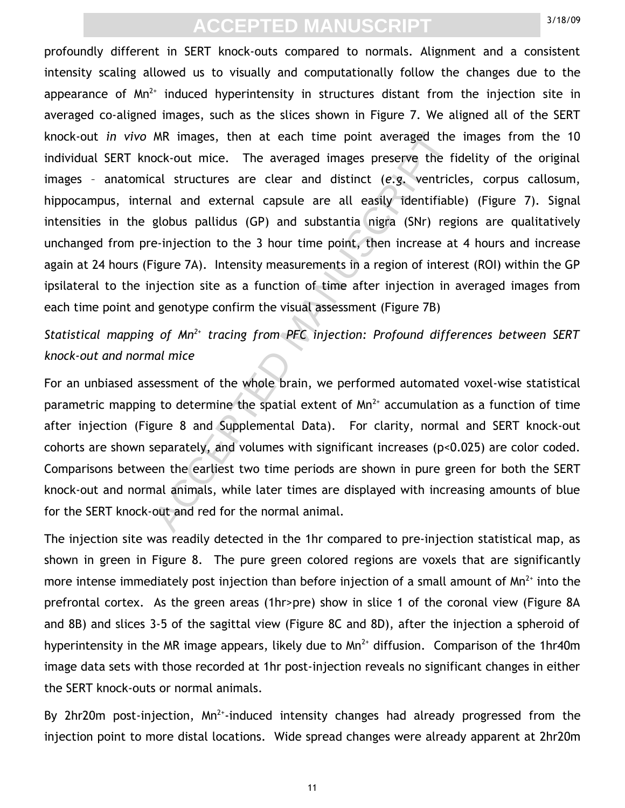MR images, then at each time point averaged the ock-out mice. The averaged images preserve the fical structures are clear and distinct (e.g. ventricl<br>rnal and external capsule are all easily identifiably<br>globus pallidus ( profoundly different in SERT knock-outs compared to normals. Alignment and a consistent intensity scaling allowed us to visually and computationally follow the changes due to the appearance of  $Mn^{2+}$  induced hyperintensity in structures distant from the injection site in averaged co-aligned images, such as the slices shown in Figure 7. We aligned all of the SERT knock-out *in vivo* MR images, then at each time point averaged the images from the 10 individual SERT knock-out mice. The averaged images preserve the fidelity of the original images – anatomical structures are clear and distinct (*e.g.* ventricles, corpus callosum, hippocampus, internal and external capsule are all easily identifiable) (Figure 7). Signal intensities in the globus pallidus (GP) and substantia nigra (SNr) regions are qualitatively unchanged from pre-injection to the 3 hour time point, then increase at 4 hours and increase again at 24 hours (Figure 7A). Intensity measurements in a region of interest (ROI) within the GP ipsilateral to the injection site as a function of time after injection in averaged images from each time point and genotype confirm the visual assessment (Figure 7B)

### *Statistical mapping of Mn2+ tracing from PFC injection: Profound differences between SERT knock-out and normal mice*

For an unbiased assessment of the whole brain, we performed automated voxel-wise statistical parametric mapping to determine the spatial extent of  $Mn^{2+}$  accumulation as a function of time after injection (Figure 8 and Supplemental Data). For clarity, normal and SERT knock-out cohorts are shown separately, and volumes with significant increases (p<0.025) are color coded. Comparisons between the earliest two time periods are shown in pure green for both the SERT knock-out and normal animals, while later times are displayed with increasing amounts of blue for the SERT knock-out and red for the normal animal.

The injection site was readily detected in the 1hr compared to pre-injection statistical map, as shown in green in Figure 8. The pure green colored regions are voxels that are significantly more intense immediately post injection than before injection of a small amount of  $Mn^{2+}$  into the prefrontal cortex. As the green areas (1hr>pre) show in slice 1 of the coronal view (Figure 8A and 8B) and slices 3-5 of the sagittal view (Figure 8C and 8D), after the injection a spheroid of hyperintensity in the MR image appears, likely due to  $Mn^{2+}$  diffusion. Comparison of the 1hr40m image data sets with those recorded at 1hr post-injection reveals no significant changes in either the SERT knock-outs or normal animals.

By 2hr20m post-injection,  $Mn^{2+}$ -induced intensity changes had already progressed from the injection point to more distal locations. Wide spread changes were already apparent at 2hr20m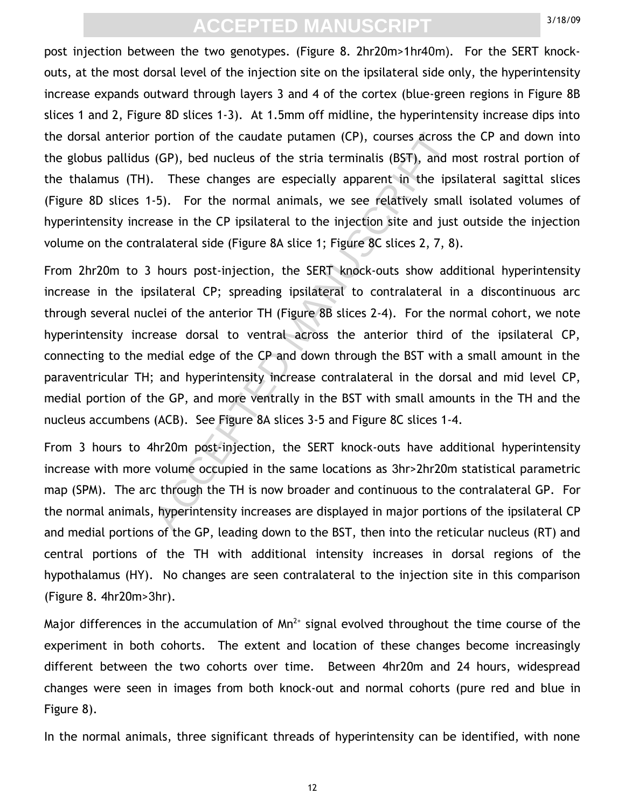post injection between the two genotypes. (Figure 8. 2hr20m>1hr40m). For the SERT knockouts, at the most dorsal level of the injection site on the ipsilateral side only, the hyperintensity increase expands outward through layers 3 and 4 of the cortex (blue-green regions in Figure 8B slices 1 and 2, Figure 8D slices 1-3). At 1.5mm off midline, the hyperintensity increase dips into the dorsal anterior portion of the caudate putamen (CP), courses across the CP and down into the globus pallidus (GP), bed nucleus of the stria terminalis (BST), and most rostral portion of the thalamus (TH). These changes are especially apparent in the ipsilateral sagittal slices (Figure 8D slices 1-5). For the normal animals, we see relatively small isolated volumes of hyperintensity increase in the CP ipsilateral to the injection site and just outside the injection volume on the contralateral side (Figure 8A slice 1; Figure 8C slices 2, 7, 8).

portion of the caudate putamen (CP), courses across<br>(GP), bed nucleus of the stria terminalis (BST), and n<br>These changes are especially apparent in the ips<br>-5). For the normal animals, we see relatively smal<br>asee in the C From 2hr20m to 3 hours post-injection, the SERT knock-outs show additional hyperintensity increase in the ipsilateral CP; spreading ipsilateral to contralateral in a discontinuous arc through several nuclei of the anterior TH (Figure 8B slices 2-4). For the normal cohort, we note hyperintensity increase dorsal to ventral across the anterior third of the ipsilateral CP, connecting to the medial edge of the CP and down through the BST with a small amount in the paraventricular TH; and hyperintensity increase contralateral in the dorsal and mid level CP, medial portion of the GP, and more ventrally in the BST with small amounts in the TH and the nucleus accumbens (ACB). See Figure 8A slices 3-5 and Figure 8C slices 1-4.

From 3 hours to 4hr20m post-injection, the SERT knock-outs have additional hyperintensity increase with more volume occupied in the same locations as 3hr>2hr20m statistical parametric map (SPM). The arc through the TH is now broader and continuous to the contralateral GP. For the normal animals, hyperintensity increases are displayed in major portions of the ipsilateral CP and medial portions of the GP, leading down to the BST, then into the reticular nucleus (RT) and central portions of the TH with additional intensity increases in dorsal regions of the hypothalamus (HY). No changes are seen contralateral to the injection site in this comparison (Figure 8. 4hr20m>3hr).

Major differences in the accumulation of  $Mn^{2+}$  signal evolved throughout the time course of the experiment in both cohorts. The extent and location of these changes become increasingly different between the two cohorts over time. Between 4hr20m and 24 hours, widespread changes were seen in images from both knock-out and normal cohorts (pure red and blue in Figure 8).

In the normal animals, three significant threads of hyperintensity can be identified, with none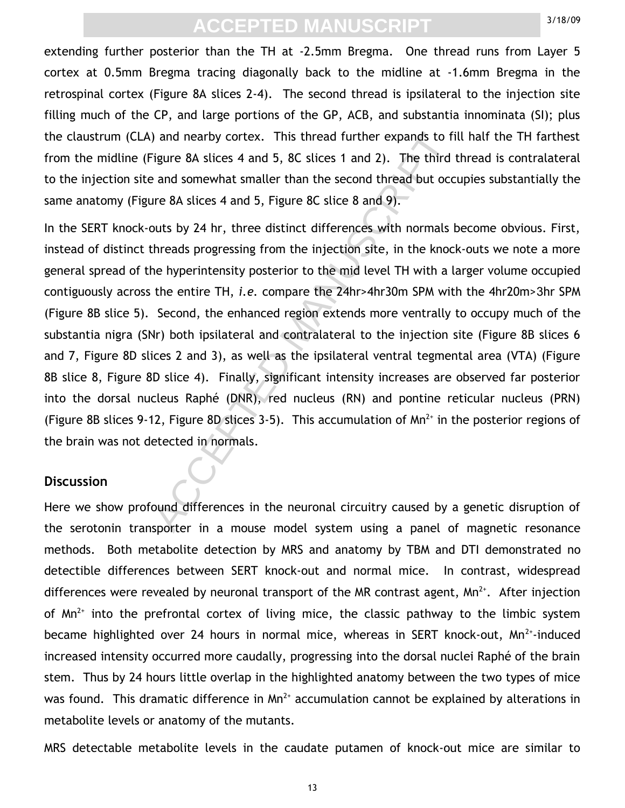extending further posterior than the TH at -2.5mm Bregma. One thread runs from Layer 5 cortex at 0.5mm Bregma tracing diagonally back to the midline at -1.6mm Bregma in the retrospinal cortex (Figure 8A slices 2-4). The second thread is ipsilateral to the injection site filling much of the CP, and large portions of the GP, ACB, and substantia innominata (SI); plus the claustrum (CLA) and nearby cortex. This thread further expands to fill half the TH farthest from the midline (Figure 8A slices 4 and 5, 8C slices 1 and 2). The third thread is contralateral to the injection site and somewhat smaller than the second thread but occupies substantially the same anatomy (Figure 8A slices 4 and 5, Figure 8C slice 8 and 9).

and nearby cortex. This thread further expands to fi<br>
igure 8A slices 4 and 5, 8C slices 1 and 2). The third is and somewhat smaller than the second thread but occ<br>
ier 8A slices 4 and 5, Figure 8C slice 8 and 9).<br>
buts b In the SERT knock-outs by 24 hr, three distinct differences with normals become obvious. First, instead of distinct threads progressing from the injection site, in the knock-outs we note a more general spread of the hyperintensity posterior to the mid level TH with a larger volume occupied contiguously across the entire TH, *i.e.* compare the 24hr>4hr30m SPM with the 4hr20m>3hr SPM (Figure 8B slice 5). Second, the enhanced region extends more ventrally to occupy much of the substantia nigra (SNr) both ipsilateral and contralateral to the injection site (Figure 8B slices 6 and 7, Figure 8D slices 2 and 3), as well as the ipsilateral ventral tegmental area (VTA) (Figure 8B slice 8, Figure 8D slice 4). Finally, significant intensity increases are observed far posterior into the dorsal nucleus Raphé (DNR), red nucleus (RN) and pontine reticular nucleus (PRN) (Figure 8B slices 9-12, Figure 8D slices 3-5). This accumulation of  $Mn^{2+}$  in the posterior regions of the brain was not detected in normals.

#### **Discussion**

Here we show profound differences in the neuronal circuitry caused by a genetic disruption of the serotonin transporter in a mouse model system using a panel of magnetic resonance methods. Both metabolite detection by MRS and anatomy by TBM and DTI demonstrated no detectible differences between SERT knock-out and normal mice. In contrast, widespread differences were revealed by neuronal transport of the MR contrast agent,  $Mn^{2+}$ . After injection of  $Mn^{2+}$  into the prefrontal cortex of living mice, the classic pathway to the limbic system became highlighted over 24 hours in normal mice, whereas in SERT knock-out,  $Mn^{2+}$ -induced increased intensity occurred more caudally, progressing into the dorsal nuclei Raphé of the brain stem. Thus by 24 hours little overlap in the highlighted anatomy between the two types of mice was found. This dramatic difference in  $Mn^{2+}$  accumulation cannot be explained by alterations in metabolite levels or anatomy of the mutants.

MRS detectable metabolite levels in the caudate putamen of knock-out mice are similar to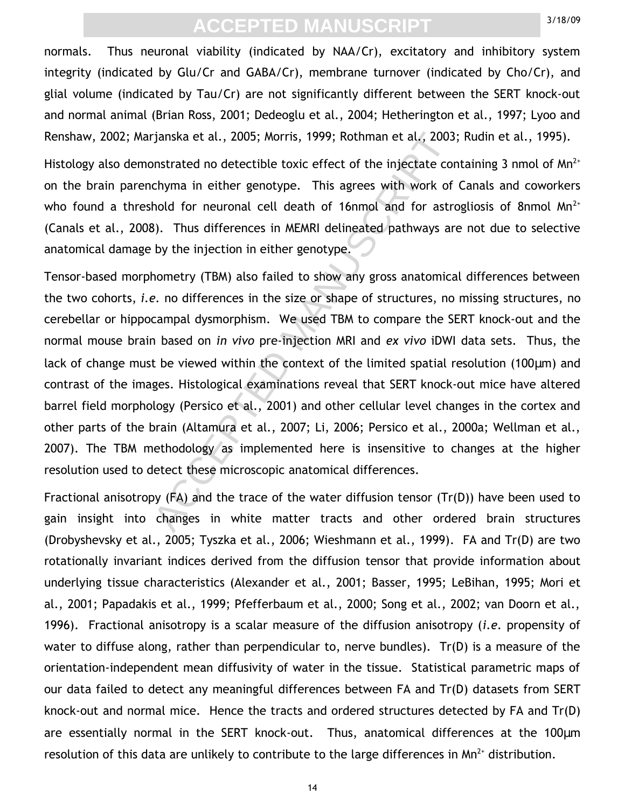#### 3/18/09

### **ACCEPTED MANUSCRIPT**

normals. Thus neuronal viability (indicated by NAA/Cr), excitatory and inhibitory system integrity (indicated by Glu/Cr and GABA/Cr), membrane turnover (indicated by Cho/Cr), and glial volume (indicated by Tau/Cr) are not significantly different between the SERT knock-out and normal animal (Brian Ross, 2001; Dedeoglu et al., 2004; Hetherington et al., 1997; Lyoo and Renshaw, 2002; Marjanska et al., 2005; Morris, 1999; Rothman et al., 2003; Rudin et al., 1995).

Histology also demonstrated no detectible toxic effect of the injectate containing 3 nmol of  $Mn^{2+}$ on the brain parenchyma in either genotype. This agrees with work of Canals and coworkers who found a threshold for neuronal cell death of 16nmol and for astrogliosis of 8nmol  $Mn^{2+}$ (Canals et al., 2008). Thus differences in MEMRI delineated pathways are not due to selective anatomical damage by the injection in either genotype.

rjanska et al., 2005; Morris, 1999; Rothman et al., 2003<br>onstrated no detectible toxic effect of the injectate cor<br>chyma in either genotype. This agrees with work of<br>bold for neuronal cell death of 16nmol and for astro<br>i). Tensor-based morphometry (TBM) also failed to show any gross anatomical differences between the two cohorts, *i.e.* no differences in the size or shape of structures, no missing structures, no cerebellar or hippocampal dysmorphism. We used TBM to compare the SERT knock-out and the normal mouse brain based on *in vivo* pre-injection MRI and *ex vivo* iDWI data sets. Thus, the lack of change must be viewed within the context of the limited spatial resolution (100µm) and contrast of the images. Histological examinations reveal that SERT knock-out mice have altered barrel field morphology (Persico et al., 2001) and other cellular level changes in the cortex and other parts of the brain (Altamura et al., 2007; Li, 2006; Persico et al., 2000a; Wellman et al., 2007). The TBM methodology as implemented here is insensitive to changes at the higher resolution used to detect these microscopic anatomical differences.

Fractional anisotropy (FA) and the trace of the water diffusion tensor (Tr(D)) have been used to gain insight into changes in white matter tracts and other ordered brain structures (Drobyshevsky et al., 2005; Tyszka et al., 2006; Wieshmann et al., 1999). FA and Tr(D) are two rotationally invariant indices derived from the diffusion tensor that provide information about underlying tissue characteristics (Alexander et al., 2001; Basser, 1995; LeBihan, 1995; Mori et al., 2001; Papadakis et al., 1999; Pfefferbaum et al., 2000; Song et al., 2002; van Doorn et al., 1996). Fractional anisotropy is a scalar measure of the diffusion anisotropy (*i.e.* propensity of water to diffuse along, rather than perpendicular to, nerve bundles). Tr(D) is a measure of the orientation-independent mean diffusivity of water in the tissue. Statistical parametric maps of our data failed to detect any meaningful differences between FA and Tr(D) datasets from SERT knock-out and normal mice. Hence the tracts and ordered structures detected by FA and Tr(D) are essentially normal in the SERT knock-out. Thus, anatomical differences at the 100µm resolution of this data are unlikely to contribute to the large differences in  $Mn^{2+}$  distribution.

14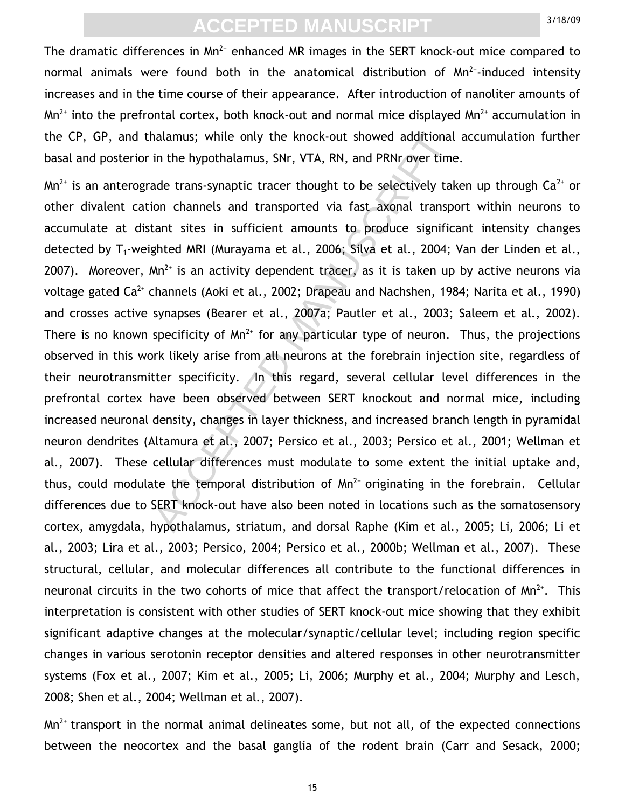The dramatic differences in  $Mn^{2+}$  enhanced MR images in the SERT knock-out mice compared to normal animals were found both in the anatomical distribution of  $Mn^{2+}$ -induced intensity increases and in the time course of their appearance. After introduction of nanoliter amounts of  $Mn^{2+}$  into the prefrontal cortex, both knock-out and normal mice displayed  $Mn^{2+}$  accumulation in the CP, GP, and thalamus; while only the knock-out showed additional accumulation further basal and posterior in the hypothalamus, SNr, VTA, RN, and PRNr over time.

nalamus; while only the knock-out showed additional<br>in the hypothalamus, SNr, VTA, RN, and PRNr over time<br>ade trans-synaptic tracer thought to be selectively tak<br>ion channels and transported via fast axonal transpo<br>tant si  $Mn^{2+}$  is an anterograde trans-synaptic tracer thought to be selectively taken up through  $Ca^{2+}$  or other divalent cation channels and transported via fast axonal transport within neurons to accumulate at distant sites in sufficient amounts to produce significant intensity changes detected by T<sub>1</sub>-weighted MRI (Murayama et al., 2006; Silva et al., 2004; Van der Linden et al., 2007). Moreover,  $Mn^{2+}$  is an activity dependent tracer, as it is taken up by active neurons via voltage gated Ca<sup>2+</sup> channels (Aoki et al., 2002; Drapeau and Nachshen, 1984; Narita et al., 1990) and crosses active synapses (Bearer et al., 2007a; Pautler et al., 2003; Saleem et al., 2002). There is no known specificity of  $Mn^{2+}$  for any particular type of neuron. Thus, the projections observed in this work likely arise from all neurons at the forebrain injection site, regardless of their neurotransmitter specificity. In this regard, several cellular level differences in the prefrontal cortex have been observed between SERT knockout and normal mice, including increased neuronal density, changes in layer thickness, and increased branch length in pyramidal neuron dendrites (Altamura et al., 2007; Persico et al., 2003; Persico et al., 2001; Wellman et al., 2007). These cellular differences must modulate to some extent the initial uptake and, thus, could modulate the temporal distribution of  $Mn^{2+}$  originating in the forebrain. Cellular differences due to SERT knock-out have also been noted in locations such as the somatosensory cortex, amygdala, hypothalamus, striatum, and dorsal Raphe (Kim et al., 2005; Li, 2006; Li et al., 2003; Lira et al., 2003; Persico, 2004; Persico et al., 2000b; Wellman et al., 2007). These structural, cellular, and molecular differences all contribute to the functional differences in neuronal circuits in the two cohorts of mice that affect the transport/relocation of  $Mn^{2+}$ . This interpretation is consistent with other studies of SERT knock-out mice showing that they exhibit significant adaptive changes at the molecular/synaptic/cellular level; including region specific changes in various serotonin receptor densities and altered responses in other neurotransmitter systems (Fox et al., 2007; Kim et al., 2005; Li, 2006; Murphy et al., 2004; Murphy and Lesch, 2008; Shen et al., 2004; Wellman et al., 2007).

 $Mn^{2+}$  transport in the normal animal delineates some, but not all, of the expected connections between the neocortex and the basal ganglia of the rodent brain (Carr and Sesack, 2000;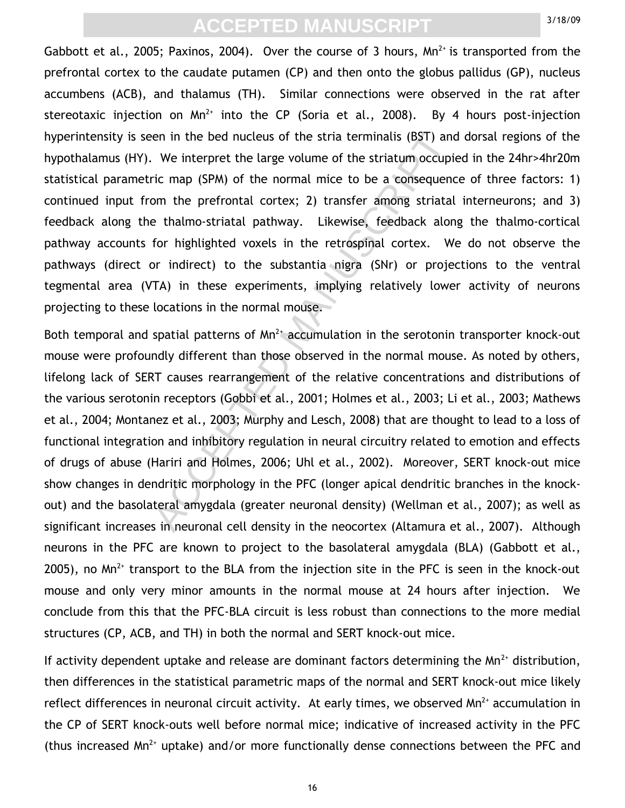Gabbott et al., 2005; Paxinos, 2004). Over the course of 3 hours,  $Mn^{2+}$  is transported from the prefrontal cortex to the caudate putamen (CP) and then onto the globus pallidus (GP), nucleus accumbens (ACB), and thalamus (TH). Similar connections were observed in the rat after stereotaxic injection on  $Mn^{2+}$  into the CP (Soria et al., 2008). By 4 hours post-injection hyperintensity is seen in the bed nucleus of the stria terminalis (BST) and dorsal regions of the hypothalamus (HY). We interpret the large volume of the striatum occupied in the 24hr>4hr20m statistical parametric map (SPM) of the normal mice to be a consequence of three factors: 1) continued input from the prefrontal cortex; 2) transfer among striatal interneurons; and 3) feedback along the thalmo-striatal pathway. Likewise, feedback along the thalmo-cortical pathway accounts for highlighted voxels in the retrospinal cortex. We do not observe the pathways (direct or indirect) to the substantia nigra (SNr) or projections to the ventral tegmental area (VTA) in these experiments, implying relatively lower activity of neurons projecting to these locations in the normal mouse.

en in the bed nucleus of the stria terminalis (BST) and<br>We interpret the large volume of the striatum occupic<br>ric map (SPM) of the normal mice to be a consequenc<br>om the prefrontal cortex; 2) transfer among striatal<br>e thal Both temporal and spatial patterns of  $Mn^{2+}$  accumulation in the serotonin transporter knock-out mouse were profoundly different than those observed in the normal mouse. As noted by others, lifelong lack of SERT causes rearrangement of the relative concentrations and distributions of the various serotonin receptors (Gobbi et al., 2001; Holmes et al., 2003; Li et al., 2003; Mathews et al., 2004; Montanez et al., 2003; Murphy and Lesch, 2008) that are thought to lead to a loss of functional integration and inhibitory regulation in neural circuitry related to emotion and effects of drugs of abuse (Hariri and Holmes, 2006; Uhl et al., 2002). Moreover, SERT knock-out mice show changes in dendritic morphology in the PFC (longer apical dendritic branches in the knockout) and the basolateral amygdala (greater neuronal density) (Wellman et al., 2007); as well as significant increases in neuronal cell density in the neocortex (Altamura et al., 2007). Although neurons in the PFC are known to project to the basolateral amygdala (BLA) (Gabbott et al.,  $2005$ ), no Mn<sup>2+</sup> transport to the BLA from the injection site in the PFC is seen in the knock-out mouse and only very minor amounts in the normal mouse at 24 hours after injection. We conclude from this that the PFC-BLA circuit is less robust than connections to the more medial structures (CP, ACB, and TH) in both the normal and SERT knock-out mice.

If activity dependent uptake and release are dominant factors determining the  $Mn^{2+}$  distribution, then differences in the statistical parametric maps of the normal and SERT knock-out mice likely reflect differences in neuronal circuit activity. At early times, we observed  $Mn^{2+}$  accumulation in the CP of SERT knock-outs well before normal mice; indicative of increased activity in the PFC (thus increased  $Mn^{2+}$  uptake) and/or more functionally dense connections between the PFC and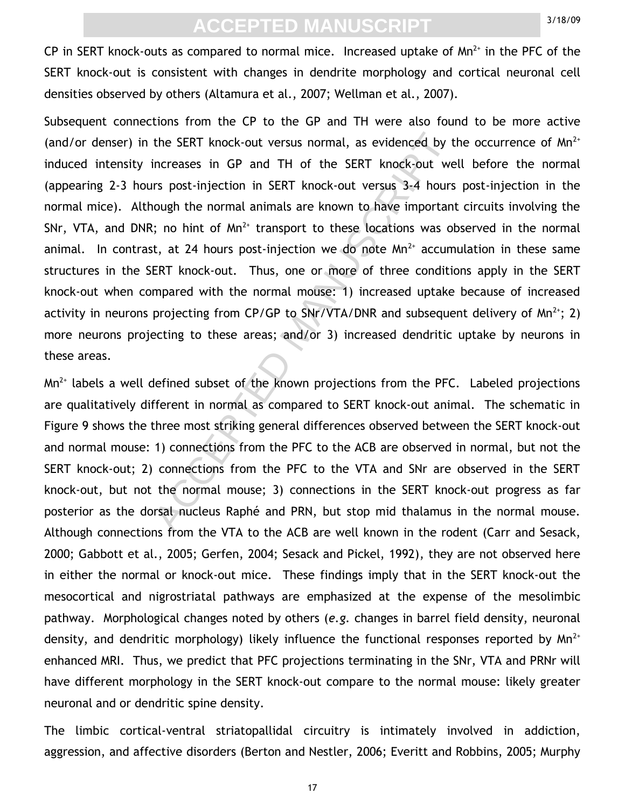CP in SERT knock-outs as compared to normal mice. Increased uptake of  $Mn^{2+}$  in the PFC of the SERT knock-out is consistent with changes in dendrite morphology and cortical neuronal cell densities observed by others (Altamura et al., 2007; Wellman et al., 2007).

the SERT knock-out versus normal, as evidenced by t<br>increases in GP and TH of the SERT knock-out we<br>rs post-injection in SERT knock-out versus 3-4 hours<br>is no hint of Mn<sup>2+</sup> transport to these locations was of<br>t, at 24 hou Subsequent connections from the CP to the GP and TH were also found to be more active (and/or denser) in the SERT knock-out versus normal, as evidenced by the occurrence of  $Mn^{2+}$ induced intensity increases in GP and TH of the SERT knock-out well before the normal (appearing 2-3 hours post-injection in SERT knock-out versus 3-4 hours post-injection in the normal mice). Although the normal animals are known to have important circuits involving the SNr, VTA, and DNR; no hint of  $Mn^{2+}$  transport to these locations was observed in the normal animal. In contrast, at 24 hours post-injection we do note  $Mn^{2+}$  accumulation in these same structures in the SERT knock-out. Thus, one or more of three conditions apply in the SERT knock-out when compared with the normal mouse: 1) increased uptake because of increased activity in neurons projecting from CP/GP to SNr/VTA/DNR and subsequent delivery of  $Mn^{2+}$ ; 2) more neurons projecting to these areas; and/or 3) increased dendritic uptake by neurons in these areas.

 $Mn^{2+}$  labels a well defined subset of the known projections from the PFC. Labeled projections are qualitatively different in normal as compared to SERT knock-out animal. The schematic in Figure 9 shows the three most striking general differences observed between the SERT knock-out and normal mouse: 1) connections from the PFC to the ACB are observed in normal, but not the SERT knock-out; 2) connections from the PFC to the VTA and SNr are observed in the SERT knock-out, but not the normal mouse; 3) connections in the SERT knock-out progress as far posterior as the dorsal nucleus Raphé and PRN, but stop mid thalamus in the normal mouse. Although connections from the VTA to the ACB are well known in the rodent (Carr and Sesack, 2000; Gabbott et al., 2005; Gerfen, 2004; Sesack and Pickel, 1992), they are not observed here in either the normal or knock-out mice. These findings imply that in the SERT knock-out the mesocortical and nigrostriatal pathways are emphasized at the expense of the mesolimbic pathway. Morphological changes noted by others (*e.g.* changes in barrel field density, neuronal density, and dendritic morphology) likely influence the functional responses reported by  $Mn^{2+}$ enhanced MRI. Thus, we predict that PFC projections terminating in the SNr, VTA and PRNr will have different morphology in the SERT knock-out compare to the normal mouse: likely greater neuronal and or dendritic spine density.

The limbic cortical-ventral striatopallidal circuitry is intimately involved in addiction, aggression, and affective disorders (Berton and Nestler, 2006; Everitt and Robbins, 2005; Murphy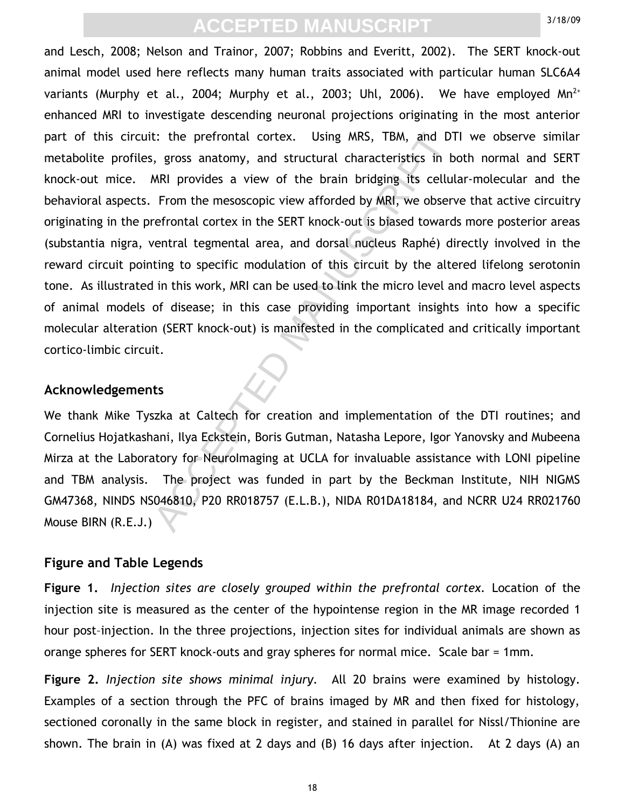t: the prefrontal cortex. Using MRS, TBM, and DT, gross anatomy, and structural characteristics in b<br>MRI provides a view of the brain bridging its cellul<br>From the mesoscopic view afforded by MRI, we observer<br>ferontal corte and Lesch, 2008; Nelson and Trainor, 2007; Robbins and Everitt, 2002). The SERT knock-out animal model used here reflects many human traits associated with particular human SLC6A4 variants (Murphy et al., 2004; Murphy et al., 2003; Uhl, 2006). We have employed  $Mn^{2+}$ enhanced MRI to investigate descending neuronal projections originating in the most anterior part of this circuit: the prefrontal cortex. Using MRS, TBM, and DTI we observe similar metabolite profiles, gross anatomy, and structural characteristics in both normal and SERT knock-out mice. MRI provides a view of the brain bridging its cellular-molecular and the behavioral aspects. From the mesoscopic view afforded by MRI, we observe that active circuitry originating in the prefrontal cortex in the SERT knock-out is biased towards more posterior areas (substantia nigra, ventral tegmental area, and dorsal nucleus Raphé) directly involved in the reward circuit pointing to specific modulation of this circuit by the altered lifelong serotonin tone. As illustrated in this work, MRI can be used to link the micro level and macro level aspects of animal models of disease; in this case providing important insights into how a specific molecular alteration (SERT knock-out) is manifested in the complicated and critically important cortico-limbic circuit.

#### **Acknowledgements**

We thank Mike Tyszka at Caltech for creation and implementation of the DTI routines; and Cornelius Hojatkashani, Ilya Eckstein, Boris Gutman, Natasha Lepore, Igor Yanovsky and Mubeena Mirza at the Laboratory for NeuroImaging at UCLA for invaluable assistance with LONI pipeline and TBM analysis. The project was funded in part by the Beckman Institute, NIH NIGMS GM47368, NINDS NS046810, P20 RR018757 (E.L.B.), NIDA R01DA18184, and NCRR U24 RR021760 Mouse BIRN (R.E.J.)

#### **Figure and Table Legends**

**Figure 1.** *Injection sites are closely grouped within the prefrontal cortex.* Location of the injection site is measured as the center of the hypointense region in the MR image recorded 1 hour post–injection. In the three projections, injection sites for individual animals are shown as orange spheres for SERT knock-outs and gray spheres for normal mice. Scale bar = 1mm.

**Figure 2.** *Injection site shows minimal injury.* All 20 brains were examined by histology. Examples of a section through the PFC of brains imaged by MR and then fixed for histology, sectioned coronally in the same block in register, and stained in parallel for Nissl/Thionine are shown. The brain in (A) was fixed at 2 days and (B) 16 days after injection. At 2 days (A) an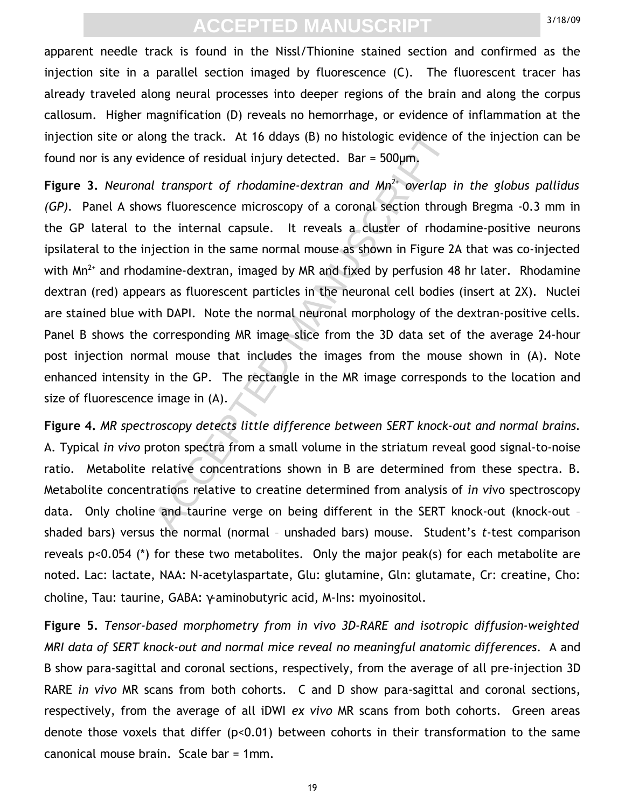apparent needle track is found in the Nissl/Thionine stained section and confirmed as the injection site in a parallel section imaged by fluorescence (C). The fluorescent tracer has already traveled along neural processes into deeper regions of the brain and along the corpus callosum. Higher magnification (D) reveals no hemorrhage, or evidence of inflammation at the injection site or along the track. At 16 ddays (B) no histologic evidence of the injection can be found nor is any evidence of residual injury detected. Bar = 500µm.

or the track. At 16 ddays (B) no histologic evidence compared dence of residual injury detected. Bar = 500pm,<br>
U transport of rhodamine-dextran and Mn<sup>2</sup> overlap in transport of rhodamine-dextran and Mn<sup>2</sup> overlap in the **Figure 3.** *Neuronal transport of rhodamine-dextran and Mn2+ overlap in the globus pallidus (GP).* Panel A shows fluorescence microscopy of a coronal section through Bregma -0.3 mm in the GP lateral to the internal capsule. It reveals a cluster of rhodamine-positive neurons ipsilateral to the injection in the same normal mouse as shown in Figure 2A that was co-injected with  $Mn^{2+}$  and rhodamine-dextran, imaged by MR and fixed by perfusion 48 hr later. Rhodamine dextran (red) appears as fluorescent particles in the neuronal cell bodies (insert at 2X). Nuclei are stained blue with DAPI. Note the normal neuronal morphology of the dextran-positive cells. Panel B shows the corresponding MR image slice from the 3D data set of the average 24-hour post injection normal mouse that includes the images from the mouse shown in (A). Note enhanced intensity in the GP. The rectangle in the MR image corresponds to the location and size of fluorescence image in (A).

**Figure 4.** *MR spectroscopy detects little difference between SERT knock-out and normal brains.* A. Typical *in vivo* proton spectra from a small volume in the striatum reveal good signal-to-noise ratio. Metabolite relative concentrations shown in B are determined from these spectra. B. Metabolite concentrations relative to creatine determined from analysis of *in vi*vo spectroscopy data. Only choline and taurine verge on being different in the SERT knock-out (knock-out – shaded bars) versus the normal (normal – unshaded bars) mouse. Student's *t*-test comparison reveals p<0.054 (\*) for these two metabolites. Only the major peak(s) for each metabolite are noted. Lac: lactate, NAA: N-acetylaspartate, Glu: glutamine, Gln: glutamate, Cr: creatine, Cho: choline, Tau: taurine, GABA: γ-aminobutyric acid, M-Ins: myoinositol.

**Figure 5.** *Tensor-based morphometry from in vivo 3D-RARE and isotropic diffusion-weighted MRI data of SERT knock-out and normal mice reveal no meaningful anatomic differences.* A and B show para-sagittal and coronal sections, respectively, from the average of all pre-injection 3D RARE *in vivo* MR scans from both cohorts. C and D show para-sagittal and coronal sections, respectively, from the average of all iDWI *ex vivo* MR scans from both cohorts. Green areas denote those voxels that differ  $(p<0.01)$  between cohorts in their transformation to the same canonical mouse brain. Scale bar = 1mm.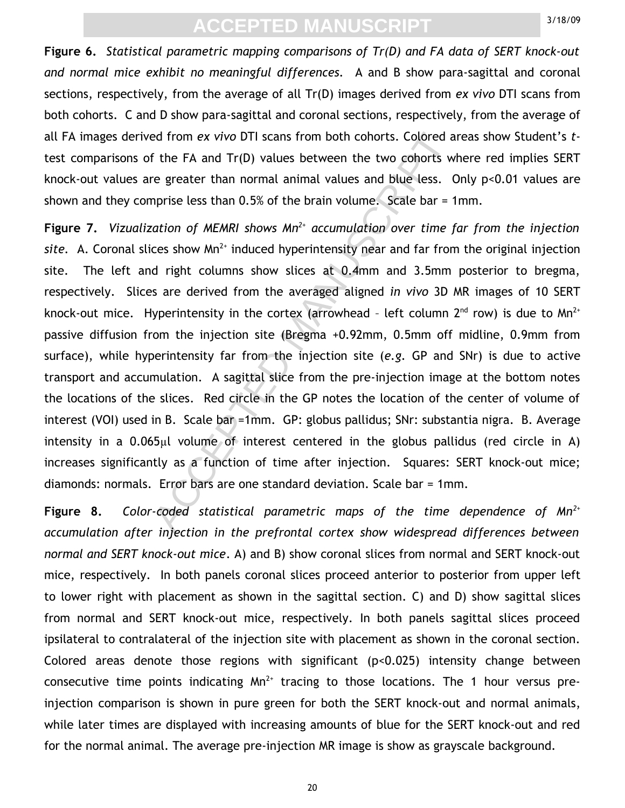**Figure 6.** *Statistical parametric mapping comparisons of Tr(D) and FA data of SERT knock-out and normal mice exhibit no meaningful differences.* A and B show para-sagittal and coronal sections, respectively, from the average of all Tr(D) images derived from *ex vivo* DTI scans from both cohorts. C and D show para-sagittal and coronal sections, respectively, from the average of all FA images derived from *ex vivo* DTI scans from both cohorts. Colored areas show Student's *t*test comparisons of the FA and Tr(D) values between the two cohorts where red implies SERT knock-out values are greater than normal animal values and blue less. Only p<0.01 values are shown and they comprise less than 0.5% of the brain volume. Scale bar = 1mm.

ed from ex vivo DTI scans from both cohorts. Colored a<br>
f the FA and Tr(D) values between the two cohorts wie greater than normal animal values and blue less. C<br>
aprise less than 0.5% of the brain volume. Scale bar = 1<br>
a **Figure 7.** *Vizualization of MEMRI shows Mn2+ accumulation over time far from the injection* site. A. Coronal slices show Mn<sup>2+</sup> induced hyperintensity near and far from the original injection site. The left and right columns show slices at 0.4mm and 3.5mm posterior to bregma, respectively. Slices are derived from the averaged aligned *in vivo* 3D MR images of 10 SERT knock-out mice. Hyperintensity in the cortex (arrowhead - left column  $2^{nd}$  row) is due to Mn<sup>2+</sup> passive diffusion from the injection site (Bregma +0.92mm, 0.5mm off midline, 0.9mm from surface), while hyperintensity far from the injection site (*e.g.* GP and SNr) is due to active transport and accumulation. A sagittal slice from the pre-injection image at the bottom notes the locations of the slices. Red circle in the GP notes the location of the center of volume of interest (VOI) used in B. Scale bar =1mm. GP: globus pallidus; SNr: substantia nigra. B. Average intensity in a 0.065µl volume of interest centered in the globus pallidus (red circle in A) increases significantly as a function of time after injection. Squares: SERT knock-out mice; diamonds: normals. Error bars are one standard deviation. Scale bar = 1mm.

**Figure 8.** *Color-coded statistical parametric maps of the time dependence of Mn2+ accumulation after injection in the prefrontal cortex show widespread differences between normal and SERT knock-out mice*. A) and B) show coronal slices from normal and SERT knock-out mice, respectively. In both panels coronal slices proceed anterior to posterior from upper left to lower right with placement as shown in the sagittal section. C) and D) show sagittal slices from normal and SERT knock-out mice, respectively. In both panels sagittal slices proceed ipsilateral to contralateral of the injection site with placement as shown in the coronal section. Colored areas denote those regions with significant (p<0.025) intensity change between consecutive time points indicating  $Mn^{2+}$  tracing to those locations. The 1 hour versus preinjection comparison is shown in pure green for both the SERT knock-out and normal animals, while later times are displayed with increasing amounts of blue for the SERT knock-out and red for the normal animal. The average pre-injection MR image is show as grayscale background.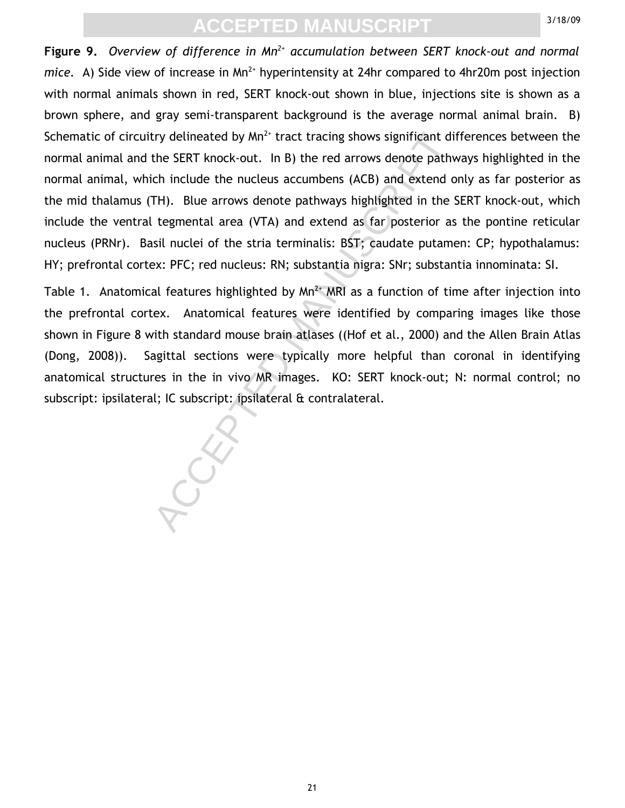try delineated by Mn<sup>2+</sup> tract tracing shows significant dithe SERT knock-out. In B) the red arrows denote path<br>ch include the nucleus accumbens (ACB) and extend of<br>TH). Blue arrows denote pathways highlighted in the indep **Figure 9.** *Overview of difference in Mn2+ accumulation between SERT knock-out and normal mice.* A) Side view of increase in Mn<sup>2+</sup> hyperintensity at 24hr compared to 4hr20m post injection with normal animals shown in red, SERT knock-out shown in blue, injections site is shown as a brown sphere, and gray semi-transparent background is the average normal animal brain. B) Schematic of circuitry delineated by  $Mn^{2+}$  tract tracing shows significant differences between the normal animal and the SERT knock-out. In B) the red arrows denote pathways highlighted in the normal animal, which include the nucleus accumbens (ACB) and extend only as far posterior as the mid thalamus (TH). Blue arrows denote pathways highlighted in the SERT knock-out, which include the ventral tegmental area (VTA) and extend as far posterior as the pontine reticular nucleus (PRNr). Basil nuclei of the stria terminalis: BST; caudate putamen: CP; hypothalamus: HY; prefrontal cortex: PFC; red nucleus: RN; substantia nigra: SNr; substantia innominata: SI.

Table 1. Anatomical features highlighted by  $Mn^{2+}$  MRI as a function of time after injection into the prefrontal cortex. Anatomical features were identified by comparing images like those shown in Figure 8 with standard mouse brain atlases ((Hof et al., 2000) and the Allen Brain Atlas (Dong, 2008)). Sagittal sections were typically more helpful than coronal in identifying anatomical structures in the in vivo MR images. KO: SERT knock-out; N: normal control; no subscript: ipsilateral; IC subscript: ipsilateral & contralateral.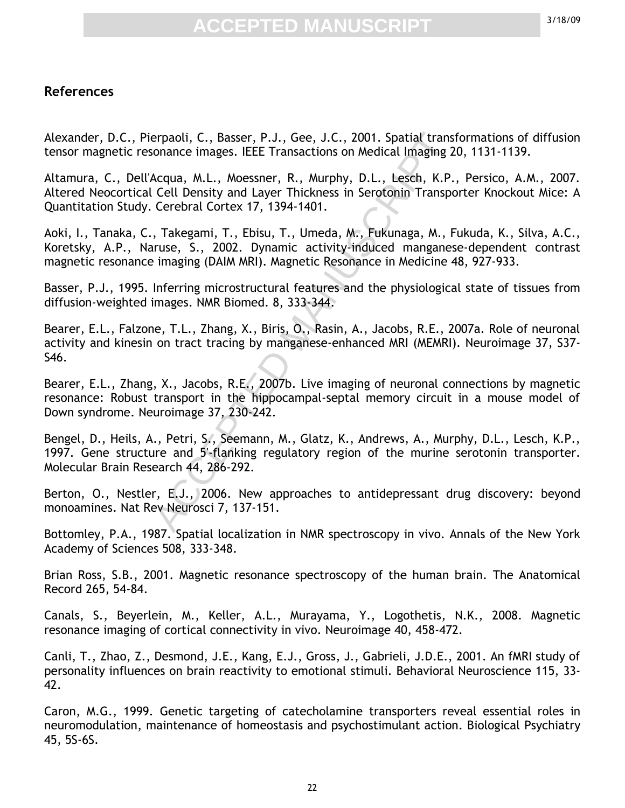#### **References**

Alexander, D.C., Pierpaoli, C., Basser, P.J., Gee, J.C., 2001. Spatial transformations of diffusion tensor magnetic resonance images. IEEE Transactions on Medical Imaging 20, 1131-1139.

Altamura, C., Dell'Acqua, M.L., Moessner, R., Murphy, D.L., Lesch, K.P., Persico, A.M., 2007. Altered Neocortical Cell Density and Layer Thickness in Serotonin Transporter Knockout Mice: A Quantitation Study. Cerebral Cortex 17, 1394-1401.

erpaoli, C., Basser, P.J., Gee, J.C., 2001. Spatial transionance images. IEEE Transactions on Medical Imaging 2<br>Acqua, M.L., Moessner, R., Murphy, D.L., Lesch, K.P.<br>Cell Density and Layer Thickness in Serotonin Transpo<br>Cer Aoki, I., Tanaka, C., Takegami, T., Ebisu, T., Umeda, M., Fukunaga, M., Fukuda, K., Silva, A.C., Koretsky, A.P., Naruse, S., 2002. Dynamic activity-induced manganese-dependent contrast magnetic resonance imaging (DAIM MRI). Magnetic Resonance in Medicine 48, 927-933.

Basser, P.J., 1995. Inferring microstructural features and the physiological state of tissues from diffusion-weighted images. NMR Biomed. 8, 333-344.

Bearer, E.L., Falzone, T.L., Zhang, X., Biris, O., Rasin, A., Jacobs, R.E., 2007a. Role of neuronal activity and kinesin on tract tracing by manganese-enhanced MRI (MEMRI). Neuroimage 37, S37- S46.

Bearer, E.L., Zhang, X., Jacobs, R.E., 2007b. Live imaging of neuronal connections by magnetic resonance: Robust transport in the hippocampal-septal memory circuit in a mouse model of Down syndrome. Neuroimage 37, 230-242.

Bengel, D., Heils, A., Petri, S., Seemann, M., Glatz, K., Andrews, A., Murphy, D.L., Lesch, K.P., 1997. Gene structure and 5'-flanking regulatory region of the murine serotonin transporter. Molecular Brain Research 44, 286-292.

Berton, O., Nestler, E.J., 2006. New approaches to antidepressant drug discovery: beyond monoamines. Nat Rev Neurosci 7, 137-151.

Bottomley, P.A., 1987. Spatial localization in NMR spectroscopy in vivo. Annals of the New York Academy of Sciences 508, 333-348.

Brian Ross, S.B., 2001. Magnetic resonance spectroscopy of the human brain. The Anatomical Record 265, 54-84.

Canals, S., Beyerlein, M., Keller, A.L., Murayama, Y., Logothetis, N.K., 2008. Magnetic resonance imaging of cortical connectivity in vivo. Neuroimage 40, 458-472.

Canli, T., Zhao, Z., Desmond, J.E., Kang, E.J., Gross, J., Gabrieli, J.D.E., 2001. An fMRI study of personality influences on brain reactivity to emotional stimuli. Behavioral Neuroscience 115, 33- 42.

Caron, M.G., 1999. Genetic targeting of catecholamine transporters reveal essential roles in neuromodulation, maintenance of homeostasis and psychostimulant action. Biological Psychiatry 45, 5S-6S.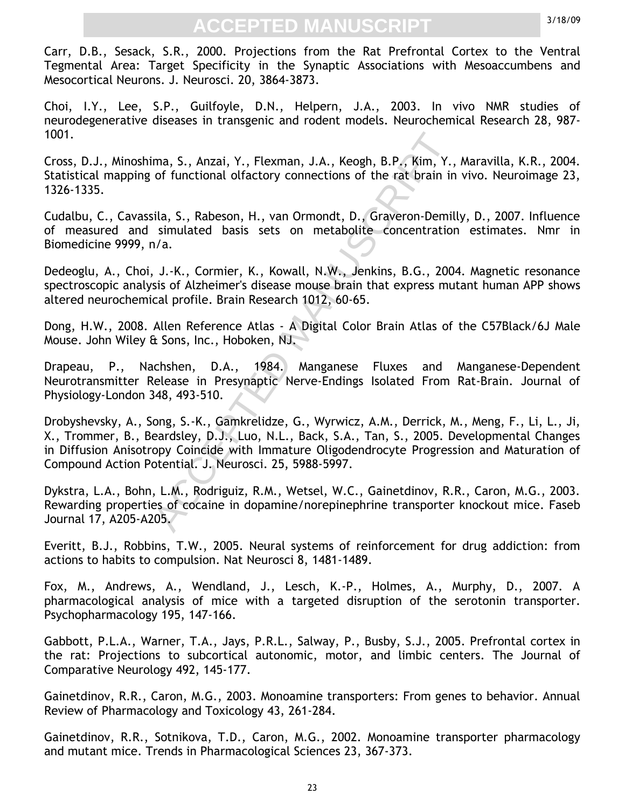Carr, D.B., Sesack, S.R., 2000. Projections from the Rat Prefrontal Cortex to the Ventral Tegmental Area: Target Specificity in the Synaptic Associations with Mesoaccumbens and Mesocortical Neurons. J. Neurosci. 20, 3864-3873.

Choi, I.Y., Lee, S.P., Guilfoyle, D.N., Helpern, J.A., 2003. In vivo NMR studies of neurodegenerative diseases in transgenic and rodent models. Neurochemical Research 28, 987- 1001.

Cross, D.J., Minoshima, S., Anzai, Y., Flexman, J.A., Keogh, B.P., Kim, Y., Maravilla, K.R., 2004. Statistical mapping of functional olfactory connections of the rat brain in vivo. Neuroimage 23, 1326-1335.

Cudalbu, C., Cavassila, S., Rabeson, H., van Ormondt, D., Graveron-Demilly, D., 2007. Influence of measured and simulated basis sets on metabolite concentration estimates. Nmr in Biomedicine 9999, n/a.

Dedeoglu, A., Choi, J.-K., Cormier, K., Kowall, N.W., Jenkins, B.G., 2004. Magnetic resonance spectroscopic analysis of Alzheimer's disease mouse brain that express mutant human APP shows altered neurochemical profile. Brain Research 1012, 60-65.

Dong, H.W., 2008. Allen Reference Atlas - A Digital Color Brain Atlas of the C57Black/6J Male Mouse. John Wiley & Sons, Inc., Hoboken, NJ.

Drapeau, P., Nachshen, D.A., 1984. Manganese Fluxes and Manganese-Dependent Neurotransmitter Release in Presynaptic Nerve-Endings Isolated From Rat-Brain. Journal of Physiology-London 348, 493-510.

ma, S., Anzai, Y., Flexman, J.A., Keogh, B.P., Kim, Y.,<br>of functional olfactory connections of the rat brain in<br>iila, S., Rabeson, H., van Ormondt, D., Graveron-Demil<br>simulated basis sets on metabolite concentratior<br>1/a.<br>J Drobyshevsky, A., Song, S.-K., Gamkrelidze, G., Wyrwicz, A.M., Derrick, M., Meng, F., Li, L., Ji, X., Trommer, B., Beardsley, D.J., Luo, N.L., Back, S.A., Tan, S., 2005. Developmental Changes in Diffusion Anisotropy Coincide with Immature Oligodendrocyte Progression and Maturation of Compound Action Potential. J. Neurosci. 25, 5988-5997.

Dykstra, L.A., Bohn, L.M., Rodriguiz, R.M., Wetsel, W.C., Gainetdinov, R.R., Caron, M.G., 2003. Rewarding properties of cocaine in dopamine/norepinephrine transporter knockout mice. Faseb Journal 17, A205-A205.

Everitt, B.J., Robbins, T.W., 2005. Neural systems of reinforcement for drug addiction: from actions to habits to compulsion. Nat Neurosci 8, 1481-1489.

Fox, M., Andrews, A., Wendland, J., Lesch, K.-P., Holmes, A., Murphy, D., 2007. A pharmacological analysis of mice with a targeted disruption of the serotonin transporter. Psychopharmacology 195, 147-166.

Gabbott, P.L.A., Warner, T.A., Jays, P.R.L., Salway, P., Busby, S.J., 2005. Prefrontal cortex in the rat: Projections to subcortical autonomic, motor, and limbic centers. The Journal of Comparative Neurology 492, 145-177.

Gainetdinov, R.R., Caron, M.G., 2003. Monoamine transporters: From genes to behavior. Annual Review of Pharmacology and Toxicology 43, 261-284.

Gainetdinov, R.R., Sotnikova, T.D., Caron, M.G., 2002. Monoamine transporter pharmacology and mutant mice. Trends in Pharmacological Sciences 23, 367-373.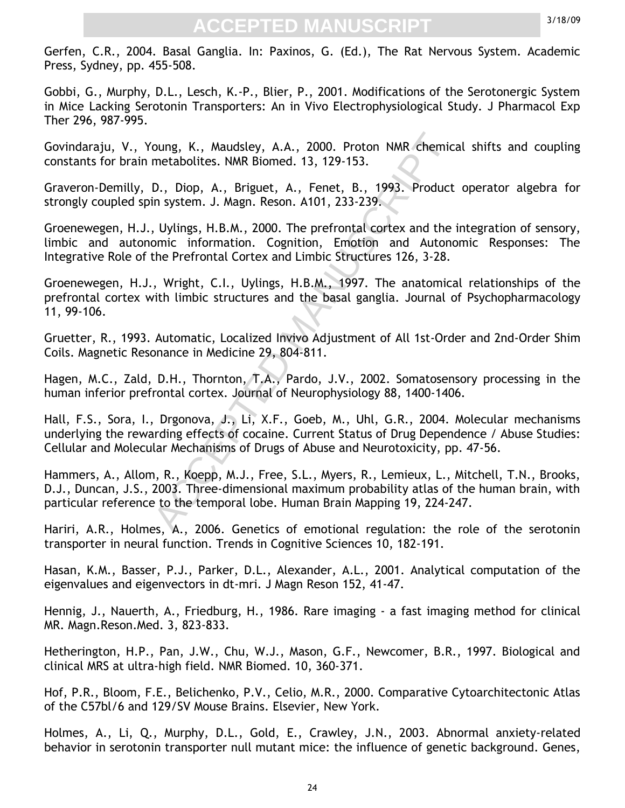Gerfen, C.R., 2004. Basal Ganglia. In: Paxinos, G. (Ed.), The Rat Nervous System. Academic Press, Sydney, pp. 455-508.

Gobbi, G., Murphy, D.L., Lesch, K.-P., Blier, P., 2001. Modifications of the Serotonergic System in Mice Lacking Serotonin Transporters: An in Vivo Electrophysiological Study. J Pharmacol Exp Ther 296, 987-995.

Govindaraju, V., Young, K., Maudsley, A.A., 2000. Proton NMR chemical shifts and coupling constants for brain metabolites. NMR Biomed. 13, 129-153.

Graveron-Demilly, D., Diop, A., Briguet, A., Fenet, B., 1993. Product operator algebra for strongly coupled spin system. J. Magn. Reson. A101, 233-239.

Groenewegen, H.J., Uylings, H.B.M., 2000. The prefrontal cortex and the integration of sensory, limbic and autonomic information. Cognition, Emotion and Autonomic Responses: The Integrative Role of the Prefrontal Cortex and Limbic Structures 126, 3-28.

oung, K., Maudsley, A.A., 2000. Proton NMR chemic:<br>metabolites. NMR Biomed. 13, 129-153.<br>D., Diop, A., Briguet, A., Fenet, B., 1993. Product<br>in system. J. Magn. Reson. A101, 233-239.<br>Uylings, H.B.M., 2000. The prefrontal c Groenewegen, H.J., Wright, C.I., Uylings, H.B.M., 1997. The anatomical relationships of the prefrontal cortex with limbic structures and the basal ganglia. Journal of Psychopharmacology 11, 99-106.

Gruetter, R., 1993. Automatic, Localized Invivo Adjustment of All 1st-Order and 2nd-Order Shim Coils. Magnetic Resonance in Medicine 29, 804-811.

Hagen, M.C., Zald, D.H., Thornton, T.A., Pardo, J.V., 2002. Somatosensory processing in the human inferior prefrontal cortex. Journal of Neurophysiology 88, 1400-1406.

Hall, F.S., Sora, I., Drgonova, J., Li, X.F., Goeb, M., Uhl, G.R., 2004. Molecular mechanisms underlying the rewarding effects of cocaine. Current Status of Drug Dependence / Abuse Studies: Cellular and Molecular Mechanisms of Drugs of Abuse and Neurotoxicity, pp. 47-56.

Hammers, A., Allom, R., Koepp, M.J., Free, S.L., Myers, R., Lemieux, L., Mitchell, T.N., Brooks, D.J., Duncan, J.S., 2003. Three-dimensional maximum probability atlas of the human brain, with particular reference to the temporal lobe. Human Brain Mapping 19, 224-247.

Hariri, A.R., Holmes, A., 2006. Genetics of emotional regulation: the role of the serotonin transporter in neural function. Trends in Cognitive Sciences 10, 182-191.

Hasan, K.M., Basser, P.J., Parker, D.L., Alexander, A.L., 2001. Analytical computation of the eigenvalues and eigenvectors in dt-mri. J Magn Reson 152, 41-47.

Hennig, J., Nauerth, A., Friedburg, H., 1986. Rare imaging - a fast imaging method for clinical MR. Magn.Reson.Med. 3, 823-833.

Hetherington, H.P., Pan, J.W., Chu, W.J., Mason, G.F., Newcomer, B.R., 1997. Biological and clinical MRS at ultra-high field. NMR Biomed. 10, 360-371.

Hof, P.R., Bloom, F.E., Belichenko, P.V., Celio, M.R., 2000. Comparative Cytoarchitectonic Atlas of the C57bl/6 and 129/SV Mouse Brains. Elsevier, New York.

Holmes, A., Li, Q., Murphy, D.L., Gold, E., Crawley, J.N., 2003. Abnormal anxiety-related behavior in serotonin transporter null mutant mice: the influence of genetic background. Genes,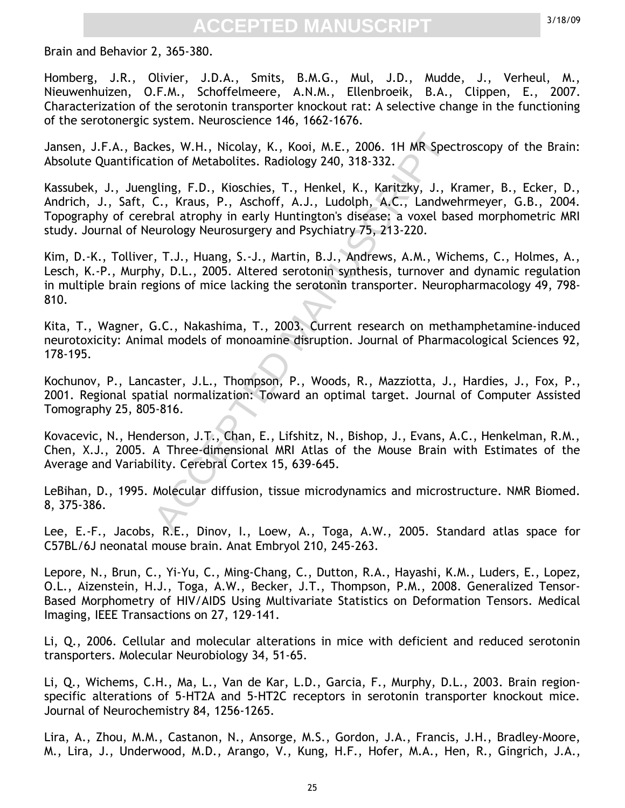Brain and Behavior 2, 365-380.

Homberg, J.R., Olivier, J.D.A., Smits, B.M.G., Mul, J.D., Mudde, J., Verheul, M., Nieuwenhuizen, O.F.M., Schoffelmeere, A.N.M., Ellenbroeik, B.A., Clippen, E., 2007. Characterization of the serotonin transporter knockout rat: A selective change in the functioning of the serotonergic system. Neuroscience 146, 1662-1676.

Jansen, J.F.A., Backes, W.H., Nicolay, K., Kooi, M.E., 2006. 1H MR Spectroscopy of the Brain: Absolute Quantification of Metabolites. Radiology 240, 318-332.

kes, W.H., Nicolay, K., Kooi, M.E., 2006. 1H MR Spection of Metabolites. Radiology 240, 318-332.<br>
gling, F.D., Kioschies, T., Henkel, K., Karitzky, J., K.<br>
C., Kraus, P., Aschoff, A.J., Ludolph, A.C., Landwe<br>
bral atrophy Kassubek, J., Juengling, F.D., Kioschies, T., Henkel, K., Karitzky, J., Kramer, B., Ecker, D., Andrich, J., Saft, C., Kraus, P., Aschoff, A.J., Ludolph, A.C., Landwehrmeyer, G.B., 2004. Topography of cerebral atrophy in early Huntington's disease: a voxel based morphometric MRI study. Journal of Neurology Neurosurgery and Psychiatry 75, 213-220.

Kim, D.-K., Tolliver, T.J., Huang, S.-J., Martin, B.J., Andrews, A.M., Wichems, C., Holmes, A., Lesch, K.-P., Murphy, D.L., 2005. Altered serotonin synthesis, turnover and dynamic regulation in multiple brain regions of mice lacking the serotonin transporter. Neuropharmacology 49, 798- 810.

Kita, T., Wagner, G.C., Nakashima, T., 2003. Current research on methamphetamine-induced neurotoxicity: Animal models of monoamine disruption. Journal of Pharmacological Sciences 92, 178-195.

Kochunov, P., Lancaster, J.L., Thompson, P., Woods, R., Mazziotta, J., Hardies, J., Fox, P., 2001. Regional spatial normalization: Toward an optimal target. Journal of Computer Assisted Tomography 25, 805-816.

Kovacevic, N., Henderson, J.T., Chan, E., Lifshitz, N., Bishop, J., Evans, A.C., Henkelman, R.M., Chen, X.J., 2005. A Three-dimensional MRI Atlas of the Mouse Brain with Estimates of the Average and Variability. Cerebral Cortex 15, 639-645.

LeBihan, D., 1995. Molecular diffusion, tissue microdynamics and microstructure. NMR Biomed. 8, 375-386.

Lee, E.-F., Jacobs, R.E., Dinov, I., Loew, A., Toga, A.W., 2005. Standard atlas space for C57BL/6J neonatal mouse brain. Anat Embryol 210, 245-263.

Lepore, N., Brun, C., Yi-Yu, C., Ming-Chang, C., Dutton, R.A., Hayashi, K.M., Luders, E., Lopez, O.L., Aizenstein, H.J., Toga, A.W., Becker, J.T., Thompson, P.M., 2008. Generalized Tensor-Based Morphometry of HIV/AIDS Using Multivariate Statistics on Deformation Tensors. Medical Imaging, IEEE Transactions on 27, 129-141.

Li, Q., 2006. Cellular and molecular alterations in mice with deficient and reduced serotonin transporters. Molecular Neurobiology 34, 51-65.

Li, Q., Wichems, C.H., Ma, L., Van de Kar, L.D., Garcia, F., Murphy, D.L., 2003. Brain regionspecific alterations of 5-HT2A and 5-HT2C receptors in serotonin transporter knockout mice. Journal of Neurochemistry 84, 1256-1265.

Lira, A., Zhou, M.M., Castanon, N., Ansorge, M.S., Gordon, J.A., Francis, J.H., Bradley-Moore, M., Lira, J., Underwood, M.D., Arango, V., Kung, H.F., Hofer, M.A., Hen, R., Gingrich, J.A.,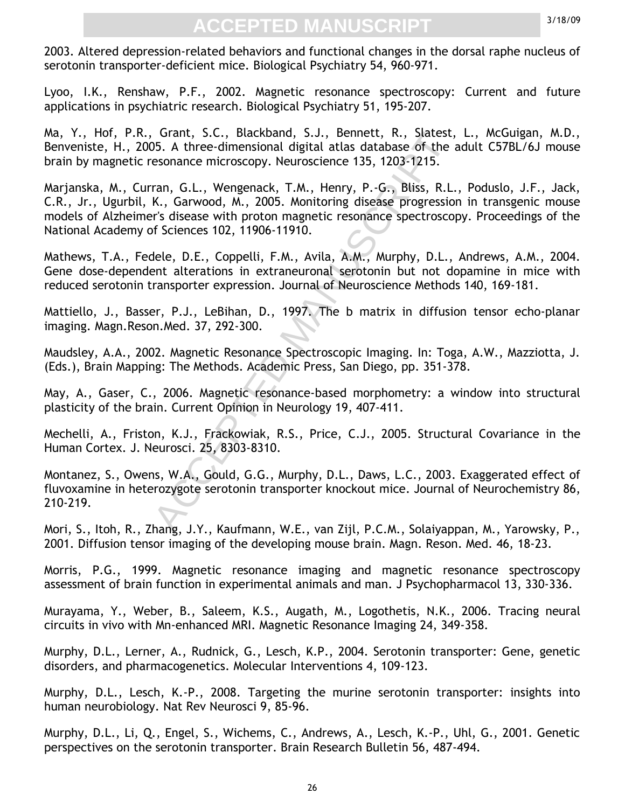2003. Altered depression-related behaviors and functional changes in the dorsal raphe nucleus of serotonin transporter-deficient mice. Biological Psychiatry 54, 960-971.

Lyoo, I.K., Renshaw, P.F., 2002. Magnetic resonance spectroscopy: Current and future applications in psychiatric research. Biological Psychiatry 51, 195-207.

Ma, Y., Hof, P.R., Grant, S.C., Blackband, S.J., Bennett, R., Slatest, L., McGuigan, M.D., Benveniste, H., 2005. A three-dimensional digital atlas database of the adult C57BL/6J mouse brain by magnetic resonance microscopy. Neuroscience 135, 1203-1215.

Urant, S.C., Blackband, S.J., Bennett, K., Stacest, G., Stacest, B., A., Stacest, esonance microscopy. Neuroscience 135, 1203-1215.<br>
ran, G.L., Wengenack, T.M., Henry, P.-G., Bliss, R.L.<br>
K., Garwood, M., 2005. Monitoring Marjanska, M., Curran, G.L., Wengenack, T.M., Henry, P.-G., Bliss, R.L., Poduslo, J.F., Jack, C.R., Jr., Ugurbil, K., Garwood, M., 2005. Monitoring disease progression in transgenic mouse models of Alzheimer's disease with proton magnetic resonance spectroscopy. Proceedings of the National Academy of Sciences 102, 11906-11910.

Mathews, T.A., Fedele, D.E., Coppelli, F.M., Avila, A.M., Murphy, D.L., Andrews, A.M., 2004. Gene dose-dependent alterations in extraneuronal serotonin but not dopamine in mice with reduced serotonin transporter expression. Journal of Neuroscience Methods 140, 169-181.

Mattiello, J., Basser, P.J., LeBihan, D., 1997. The b matrix in diffusion tensor echo-planar imaging. Magn.Reson.Med. 37, 292-300.

Maudsley, A.A., 2002. Magnetic Resonance Spectroscopic Imaging. In: Toga, A.W., Mazziotta, J. (Eds.), Brain Mapping: The Methods. Academic Press, San Diego, pp. 351-378.

May, A., Gaser, C., 2006. Magnetic resonance-based morphometry: a window into structural plasticity of the brain. Current Opinion in Neurology 19, 407-411.

Mechelli, A., Friston, K.J., Frackowiak, R.S., Price, C.J., 2005. Structural Covariance in the Human Cortex. J. Neurosci. 25, 8303-8310.

Montanez, S., Owens, W.A., Gould, G.G., Murphy, D.L., Daws, L.C., 2003. Exaggerated effect of fluvoxamine in heterozygote serotonin transporter knockout mice. Journal of Neurochemistry 86, 210-219.

Mori, S., Itoh, R., Zhang, J.Y., Kaufmann, W.E., van Zijl, P.C.M., Solaiyappan, M., Yarowsky, P., 2001. Diffusion tensor imaging of the developing mouse brain. Magn. Reson. Med. 46, 18-23.

Morris, P.G., 1999. Magnetic resonance imaging and magnetic resonance spectroscopy assessment of brain function in experimental animals and man. J Psychopharmacol 13, 330-336.

Murayama, Y., Weber, B., Saleem, K.S., Augath, M., Logothetis, N.K., 2006. Tracing neural circuits in vivo with Mn-enhanced MRI. Magnetic Resonance Imaging 24, 349-358.

Murphy, D.L., Lerner, A., Rudnick, G., Lesch, K.P., 2004. Serotonin transporter: Gene, genetic disorders, and pharmacogenetics. Molecular Interventions 4, 109-123.

Murphy, D.L., Lesch, K.-P., 2008. Targeting the murine serotonin transporter: insights into human neurobiology. Nat Rev Neurosci 9, 85-96.

Murphy, D.L., Li, Q., Engel, S., Wichems, C., Andrews, A., Lesch, K.-P., Uhl, G., 2001. Genetic perspectives on the serotonin transporter. Brain Research Bulletin 56, 487-494.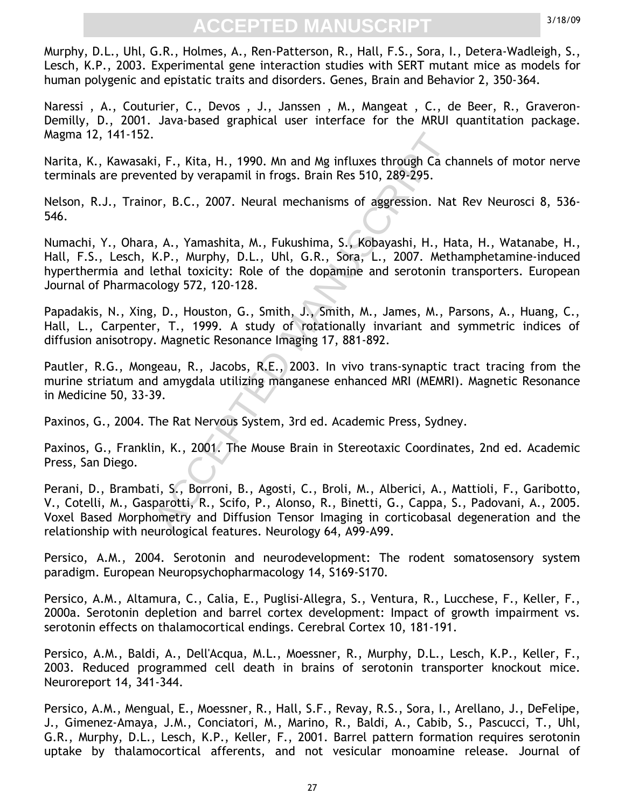Murphy, D.L., Uhl, G.R., Holmes, A., Ren-Patterson, R., Hall, F.S., Sora, I., Detera-Wadleigh, S., Lesch, K.P., 2003. Experimental gene interaction studies with SERT mutant mice as models for human polygenic and epistatic traits and disorders. Genes, Brain and Behavior 2, 350-364.

Naressi, A., Couturier, C., Devos, J., Janssen, M., Mangeat, C., de Beer, R., Graveron-Demilly, D., 2001. Java-based graphical user interface for the MRUI quantitation package. Magma 12, 141-152.

Narita, K., Kawasaki, F., Kita, H., 1990. Mn and Mg influxes through Ca channels of motor nerve terminals are prevented by verapamil in frogs. Brain Res 510, 289-295.

Nelson, R.J., Trainor, B.C., 2007. Neural mechanisms of aggression. Nat Rev Neurosci 8, 536- 546.

i, F., Kita, H., 1990. Mn and Mg influxes through Ca ch<br>
nted by verapamil in frogs. Brain Res 510, 289-295.<br>
or, B.C., 2007. Neural mechanisms of aggression. Nat<br>
u, A., Yamashita, M., Fukushima, S., Kobayashi, H., Ha<br>
k. Numachi, Y., Ohara, A., Yamashita, M., Fukushima, S., Kobayashi, H., Hata, H., Watanabe, H., Hall, F.S., Lesch, K.P., Murphy, D.L., Uhl, G.R., Sora, L., 2007. Methamphetamine-induced hyperthermia and lethal toxicity: Role of the dopamine and serotonin transporters. European Journal of Pharmacology 572, 120-128.

Papadakis, N., Xing, D., Houston, G., Smith, J., Smith, M., James, M., Parsons, A., Huang, C., Hall, L., Carpenter, T., 1999. A study of rotationally invariant and symmetric indices of diffusion anisotropy. Magnetic Resonance Imaging 17, 881-892.

Pautler, R.G., Mongeau, R., Jacobs, R.E., 2003. In vivo trans-synaptic tract tracing from the murine striatum and amygdala utilizing manganese enhanced MRI (MEMRI). Magnetic Resonance in Medicine 50, 33-39.

Paxinos, G., 2004. The Rat Nervous System, 3rd ed. Academic Press, Sydney.

Paxinos, G., Franklin, K., 2001. The Mouse Brain in Stereotaxic Coordinates, 2nd ed. Academic Press, San Diego.

Perani, D., Brambati, S., Borroni, B., Agosti, C., Broli, M., Alberici, A., Mattioli, F., Garibotto, V., Cotelli, M., Gasparotti, R., Scifo, P., Alonso, R., Binetti, G., Cappa, S., Padovani, A., 2005. Voxel Based Morphometry and Diffusion Tensor Imaging in corticobasal degeneration and the relationship with neurological features. Neurology 64, A99-A99.

Persico, A.M., 2004. Serotonin and neurodevelopment: The rodent somatosensory system paradigm. European Neuropsychopharmacology 14, S169-S170.

Persico, A.M., Altamura, C., Calia, E., Puglisi-Allegra, S., Ventura, R., Lucchese, F., Keller, F., 2000a. Serotonin depletion and barrel cortex development: Impact of growth impairment vs. serotonin effects on thalamocortical endings. Cerebral Cortex 10, 181-191.

Persico, A.M., Baldi, A., Dell'Acqua, M.L., Moessner, R., Murphy, D.L., Lesch, K.P., Keller, F., 2003. Reduced programmed cell death in brains of serotonin transporter knockout mice. Neuroreport 14, 341-344.

Persico, A.M., Mengual, E., Moessner, R., Hall, S.F., Revay, R.S., Sora, I., Arellano, J., DeFelipe, J., Gimenez-Amaya, J.M., Conciatori, M., Marino, R., Baldi, A., Cabib, S., Pascucci, T., Uhl, G.R., Murphy, D.L., Lesch, K.P., Keller, F., 2001. Barrel pattern formation requires serotonin uptake by thalamocortical afferents, and not vesicular monoamine release. Journal of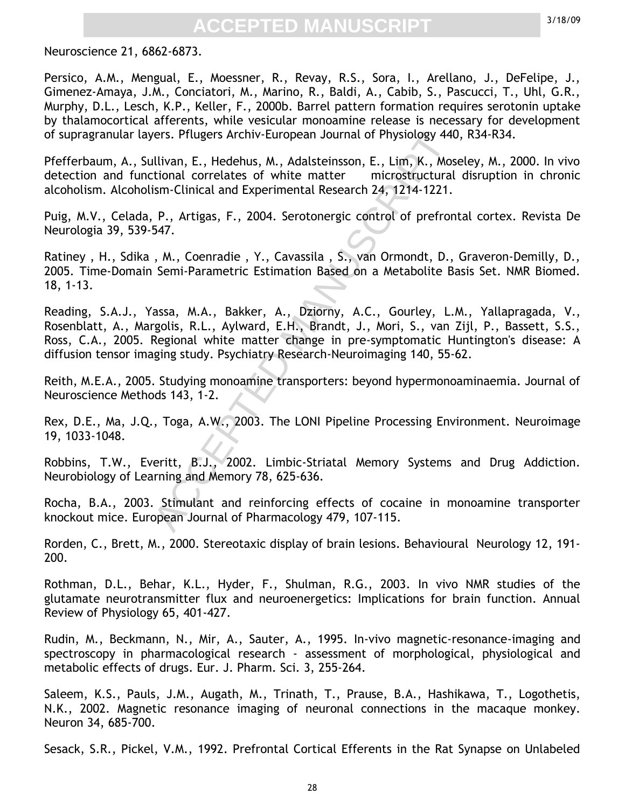Neuroscience 21, 6862-6873.

Persico, A.M., Mengual, E., Moessner, R., Revay, R.S., Sora, I., Arellano, J., DeFelipe, J., Gimenez-Amaya, J.M., Conciatori, M., Marino, R., Baldi, A., Cabib, S., Pascucci, T., Uhl, G.R., Murphy, D.L., Lesch, K.P., Keller, F., 2000b. Barrel pattern formation requires serotonin uptake by thalamocortical afferents, while vesicular monoamine release is necessary for development of supragranular layers. Pflugers Archiv-European Journal of Physiology 440, R34-R34.

Pfefferbaum, A., Sullivan, E., Hedehus, M., Adalsteinsson, E., Lim, K., Moseley, M., 2000. In vivo detection and functional correlates of white matter microstructural disruption in chronic alcoholism. Alcoholism-Clinical and Experimental Research 24, 1214-1221.

Puig, M.V., Celada, P., Artigas, F., 2004. Serotonergic control of prefrontal cortex. Revista De Neurologia 39, 539-547.

Ratiney , H., Sdika , M., Coenradie , Y., Cavassila , S., van Ormondt, D., Graveron-Demilly, D., 2005. Time-Domain Semi-Parametric Estimation Based on a Metabolite Basis Set. NMR Biomed. 18, 1-13.

rens. Pflugers Archiv-European Journal of Physiology 44(<br>
Illivan, E., Hedehus, M., Adalsteinsson, E., Lim, K., Mostional correlates of white matter microstructural<br>
ism-Clinical and Experimental Research 24, 1214-1221.<br>
P Reading, S.A.J., Yassa, M.A., Bakker, A., Dziorny, A.C., Gourley, L.M., Yallapragada, V., Rosenblatt, A., Margolis, R.L., Aylward, E.H., Brandt, J., Mori, S., van Zijl, P., Bassett, S.S., Ross, C.A., 2005. Regional white matter change in pre-symptomatic Huntington's disease: A diffusion tensor imaging study. Psychiatry Research-Neuroimaging 140, 55-62.

Reith, M.E.A., 2005. Studying monoamine transporters: beyond hypermonoaminaemia. Journal of Neuroscience Methods 143, 1-2.

Rex, D.E., Ma, J.Q., Toga, A.W., 2003. The LONI Pipeline Processing Environment. Neuroimage 19, 1033-1048.

Robbins, T.W., Everitt, B.J., 2002. Limbic-Striatal Memory Systems and Drug Addiction. Neurobiology of Learning and Memory 78, 625-636.

Rocha, B.A., 2003. Stimulant and reinforcing effects of cocaine in monoamine transporter knockout mice. European Journal of Pharmacology 479, 107-115.

Rorden, C., Brett, M., 2000. Stereotaxic display of brain lesions. Behavioural Neurology 12, 191- 200.

Rothman, D.L., Behar, K.L., Hyder, F., Shulman, R.G., 2003. In vivo NMR studies of the glutamate neurotransmitter flux and neuroenergetics: Implications for brain function. Annual Review of Physiology 65, 401-427.

Rudin, M., Beckmann, N., Mir, A., Sauter, A., 1995. In-vivo magnetic-resonance-imaging and spectroscopy in pharmacological research - assessment of morphological, physiological and metabolic effects of drugs. Eur. J. Pharm. Sci. 3, 255-264.

Saleem, K.S., Pauls, J.M., Augath, M., Trinath, T., Prause, B.A., Hashikawa, T., Logothetis, N.K., 2002. Magnetic resonance imaging of neuronal connections in the macaque monkey. Neuron 34, 685-700.

Sesack, S.R., Pickel, V.M., 1992. Prefrontal Cortical Efferents in the Rat Synapse on Unlabeled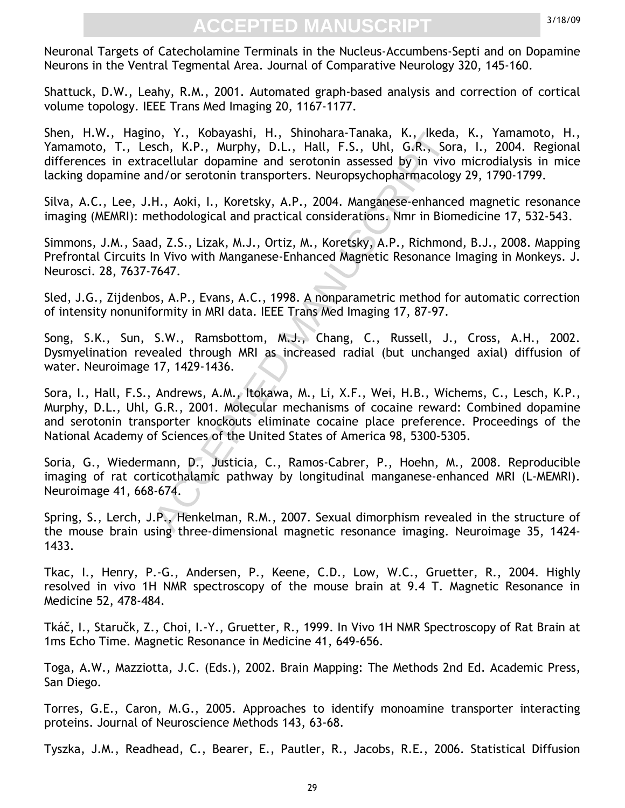3/18/09

Neuronal Targets of Catecholamine Terminals in the Nucleus-Accumbens-Septi and on Dopamine Neurons in the Ventral Tegmental Area. Journal of Comparative Neurology 320, 145-160.

Shattuck, D.W., Leahy, R.M., 2001. Automated graph-based analysis and correction of cortical volume topology. IEEE Trans Med Imaging 20, 1167-1177.

Shen, H.W., Hagino, Y., Kobayashi, H., Shinohara-Tanaka, K., Ikeda, K., Yamamoto, H., Yamamoto, T., Lesch, K.P., Murphy, D.L., Hall, F.S., Uhl, G.R., Sora, I., 2004. Regional differences in extracellular dopamine and serotonin assessed by in vivo microdialysis in mice lacking dopamine and/or serotonin transporters. Neuropsychopharmacology 29, 1790-1799.

Silva, A.C., Lee, J.H., Aoki, I., Koretsky, A.P., 2004. Manganese-enhanced magnetic resonance imaging (MEMRI): methodological and practical considerations. Nmr in Biomedicine 17, 532-543.

Simmons, J.M., Saad, Z.S., Lizak, M.J., Ortiz, M., Koretsky, A.P., Richmond, B.J., 2008. Mapping Prefrontal Circuits In Vivo with Manganese-Enhanced Magnetic Resonance Imaging in Monkeys. J. Neurosci. 28, 7637-7647.

Sled, J.G., Zijdenbos, A.P., Evans, A.C., 1998. A nonparametric method for automatic correction of intensity nonuniformity in MRI data. IEEE Trans Med Imaging 17, 87-97.

Song, S.K., Sun, S.W., Ramsbottom, M.J., Chang, C., Russell, J., Cross, A.H., 2002. Dysmyelination revealed through MRI as increased radial (but unchanged axial) diffusion of water. Neuroimage 17, 1429-1436.

no, Y., Nobayann, H., Sninnonara-Lianaka, K., Ikeda, K., Ikeda, G.R., Socialitar dopamine and serotonin assessed by in vivo<br>accellular dopamine and serotonin assessed by in vivo<br>accellular dopamine and serotonin assessed b Sora, I., Hall, F.S., Andrews, A.M., Itokawa, M., Li, X.F., Wei, H.B., Wichems, C., Lesch, K.P., Murphy, D.L., Uhl, G.R., 2001. Molecular mechanisms of cocaine reward: Combined dopamine and serotonin transporter knockouts eliminate cocaine place preference. Proceedings of the National Academy of Sciences of the United States of America 98, 5300-5305.

Soria, G., Wiedermann, D., Justicia, C., Ramos-Cabrer, P., Hoehn, M., 2008. Reproducible imaging of rat corticothalamic pathway by longitudinal manganese-enhanced MRI (L-MEMRI). Neuroimage 41, 668-674.

Spring, S., Lerch, J.P., Henkelman, R.M., 2007. Sexual dimorphism revealed in the structure of the mouse brain using three-dimensional magnetic resonance imaging. Neuroimage 35, 1424- 1433.

Tkac, I., Henry, P.-G., Andersen, P., Keene, C.D., Low, W.C., Gruetter, R., 2004. Highly resolved in vivo 1H NMR spectroscopy of the mouse brain at 9.4 T. Magnetic Resonance in Medicine 52, 478-484.

Tkáč, I., Staručk, Z., Choi, I.-Y., Gruetter, R., 1999. In Vivo 1H NMR Spectroscopy of Rat Brain at 1ms Echo Time. Magnetic Resonance in Medicine 41, 649-656.

Toga, A.W., Mazziotta, J.C. (Eds.), 2002. Brain Mapping: The Methods 2nd Ed. Academic Press, San Diego.

Torres, G.E., Caron, M.G., 2005. Approaches to identify monoamine transporter interacting proteins. Journal of Neuroscience Methods 143, 63-68.

Tyszka, J.M., Readhead, C., Bearer, E., Pautler, R., Jacobs, R.E., 2006. Statistical Diffusion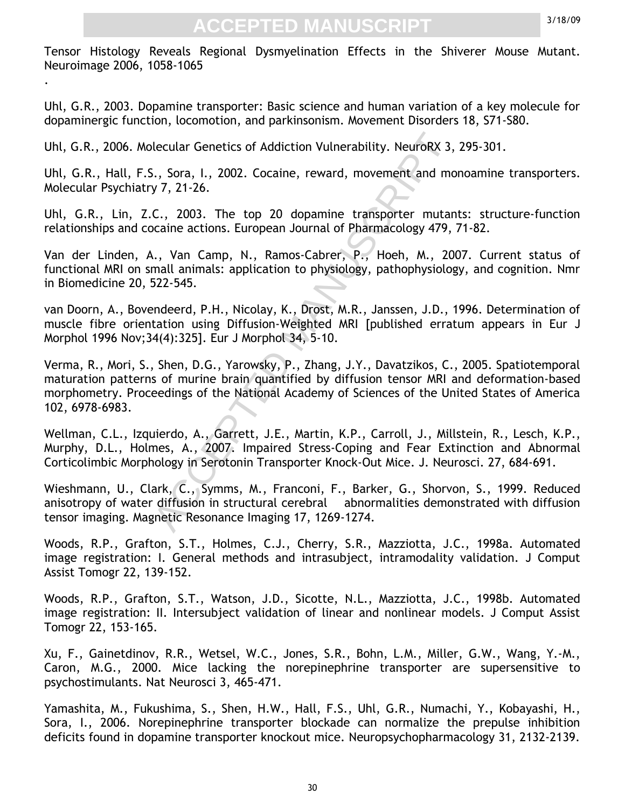Tensor Histology Reveals Regional Dysmyelination Effects in the Shiverer Mouse Mutant. Neuroimage 2006, 1058-1065

Uhl, G.R., 2003. Dopamine transporter: Basic science and human variation of a key molecule for dopaminergic function, locomotion, and parkinsonism. Movement Disorders 18, S71-S80.

Uhl, G.R., 2006. Molecular Genetics of Addiction Vulnerability. NeuroRX 3, 295-301.

.

Uhl, G.R., Hall, F.S., Sora, I., 2002. Cocaine, reward, movement and monoamine transporters. Molecular Psychiatry 7, 21-26.

Uhl, G.R., Lin, Z.C., 2003. The top 20 dopamine transporter mutants: structure-function relationships and cocaine actions. European Journal of Pharmacology 479, 71-82.

Van der Linden, A., Van Camp, N., Ramos-Cabrer, P., Hoeh, M., 2007. Current status of functional MRI on small animals: application to physiology, pathophysiology, and cognition. Nmr in Biomedicine 20, 522-545.

van Doorn, A., Bovendeerd, P.H., Nicolay, K., Drost, M.R., Janssen, J.D., 1996. Determination of muscle fibre orientation using Diffusion-Weighted MRI [published erratum appears in Eur J Morphol 1996 Nov;34(4):325]. Eur J Morphol 34, 5-10.

decular Genetics of Addiction Vulnerability. NeuroRX 3,<br>
S., Sora, I., 2002. Cocaine, reward, movement and mo<br>
y 7, 21-26.<br>
C., 2003. The top 20 dopamine transporter mutan<br>
caine actions. European Journal of Pharmacology 4 Verma, R., Mori, S., Shen, D.G., Yarowsky, P., Zhang, J.Y., Davatzikos, C., 2005. Spatiotemporal maturation patterns of murine brain quantified by diffusion tensor MRI and deformation-based morphometry. Proceedings of the National Academy of Sciences of the United States of America 102, 6978-6983.

Wellman, C.L., Izquierdo, A., Garrett, J.E., Martin, K.P., Carroll, J., Millstein, R., Lesch, K.P., Murphy, D.L., Holmes, A., 2007. Impaired Stress-Coping and Fear Extinction and Abnormal Corticolimbic Morphology in Serotonin Transporter Knock-Out Mice. J. Neurosci. 27, 684-691.

Wieshmann, U., Clark, C., Symms, M., Franconi, F., Barker, G., Shorvon, S., 1999. Reduced anisotropy of water diffusion in structural cerebral abnormalities demonstrated with diffusion tensor imaging. Magnetic Resonance Imaging 17, 1269-1274.

Woods, R.P., Grafton, S.T., Holmes, C.J., Cherry, S.R., Mazziotta, J.C., 1998a. Automated image registration: I. General methods and intrasubject, intramodality validation. J Comput Assist Tomogr 22, 139-152.

Woods, R.P., Grafton, S.T., Watson, J.D., Sicotte, N.L., Mazziotta, J.C., 1998b. Automated image registration: II. Intersubject validation of linear and nonlinear models. J Comput Assist Tomogr 22, 153-165.

Xu, F., Gainetdinov, R.R., Wetsel, W.C., Jones, S.R., Bohn, L.M., Miller, G.W., Wang, Y.-M., Caron, M.G., 2000. Mice lacking the norepinephrine transporter are supersensitive to psychostimulants. Nat Neurosci 3, 465-471.

Yamashita, M., Fukushima, S., Shen, H.W., Hall, F.S., Uhl, G.R., Numachi, Y., Kobayashi, H., Sora, I., 2006. Norepinephrine transporter blockade can normalize the prepulse inhibition deficits found in dopamine transporter knockout mice. Neuropsychopharmacology 31, 2132-2139.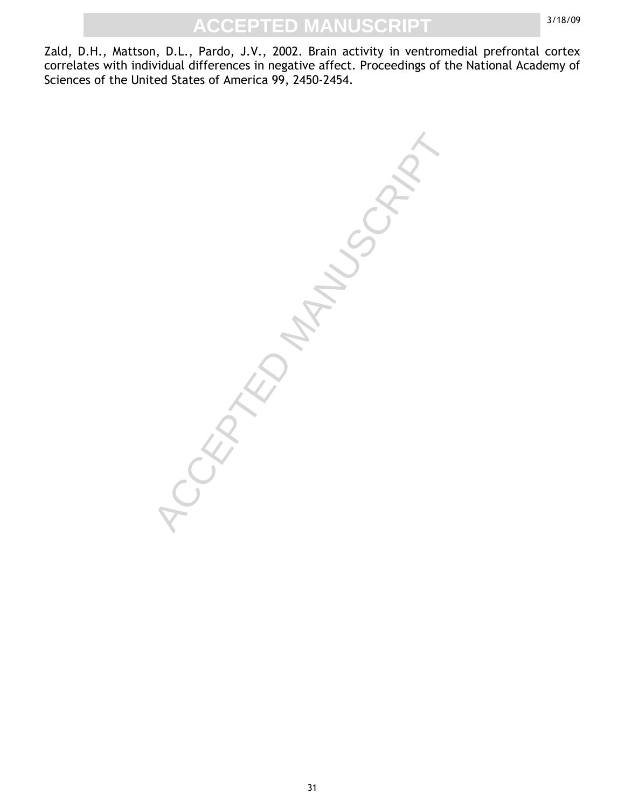Zald, D.H., Mattson, D.L., Pardo, J.V., 2002. Brain activity in ventromedial prefrontal cortex correlates with individual differences in negative affect. Proceedings of the National Academy of Sciences of the United States of America 99, 2450-2454.

ANCYS II.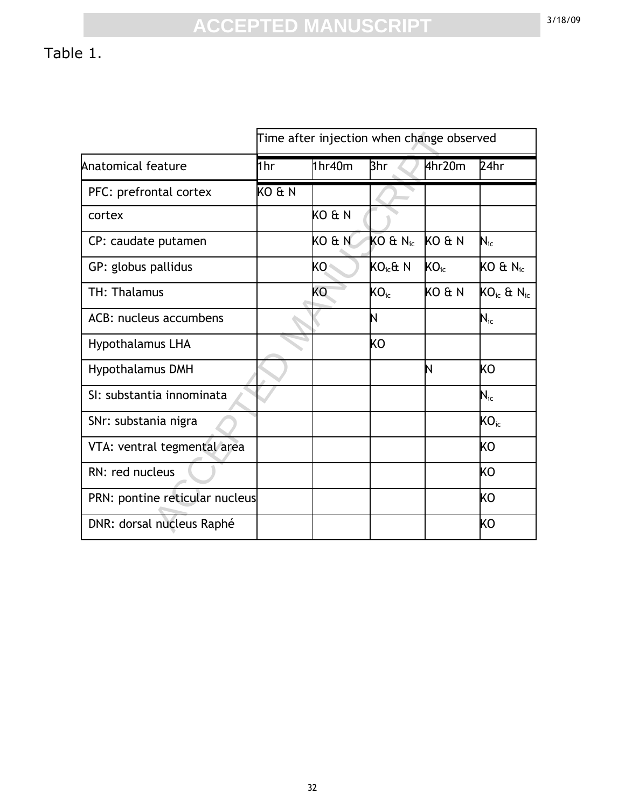## Table 1.

|                                | Time after injection when change observed |        |                      |                  |                      |
|--------------------------------|-------------------------------------------|--------|----------------------|------------------|----------------------|
| Anatomical feature             | 1hr                                       | 1hr40m | 3hr                  | 4hr20m           | 24hr                 |
| PFC: prefrontal cortex         | KO & N                                    |        |                      |                  |                      |
| cortex                         |                                           | KO & N |                      |                  |                      |
| CP: caudate putamen            |                                           | KO & N | KO & N <sub>ic</sub> | KO & N           | $N_{ic}$             |
| GP: globus pallidus            |                                           | KO     | $KOic$ & N           | KO <sub>ic</sub> | $KO 6. N_{ic}$       |
| TH: Thalamus                   |                                           | KO.    | KO <sub>ic</sub>     | KO & N           | $KO_{ic}$ & $N_{ic}$ |
| ACB: nucleus accumbens         |                                           |        | N                    |                  | $N_{ic}$             |
| <b>Hypothalamus LHA</b>        |                                           |        | ΚO                   |                  |                      |
| <b>Hypothalamus DMH</b>        |                                           |        |                      | N                | kΟ                   |
| SI: substantia innominata      |                                           |        |                      |                  | $N_{ic}$             |
| SNr: substania nigra           |                                           |        |                      |                  | KO <sub>ic</sub>     |
| VTA: ventral tegmental area    |                                           |        |                      |                  | kΟ                   |
| RN: red nucleus                |                                           |        |                      |                  | ΚO                   |
| PRN: pontine reticular nucleus |                                           |        |                      |                  | kΟ                   |
| DNR: dorsal nucleus Raphé      |                                           |        |                      |                  | kΟ                   |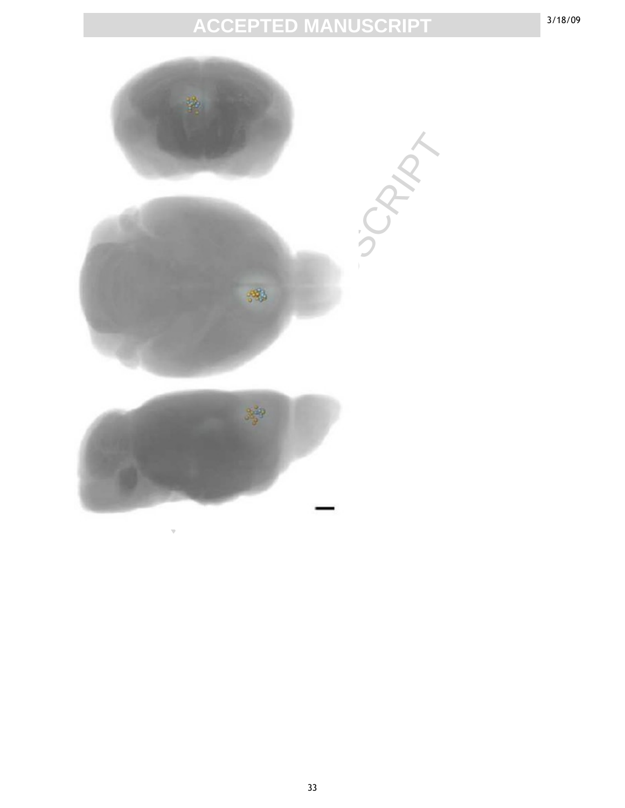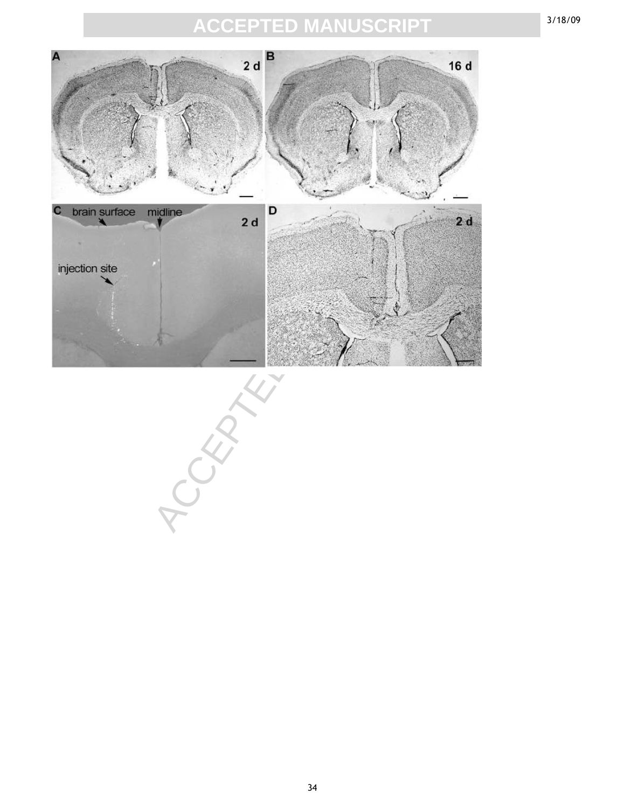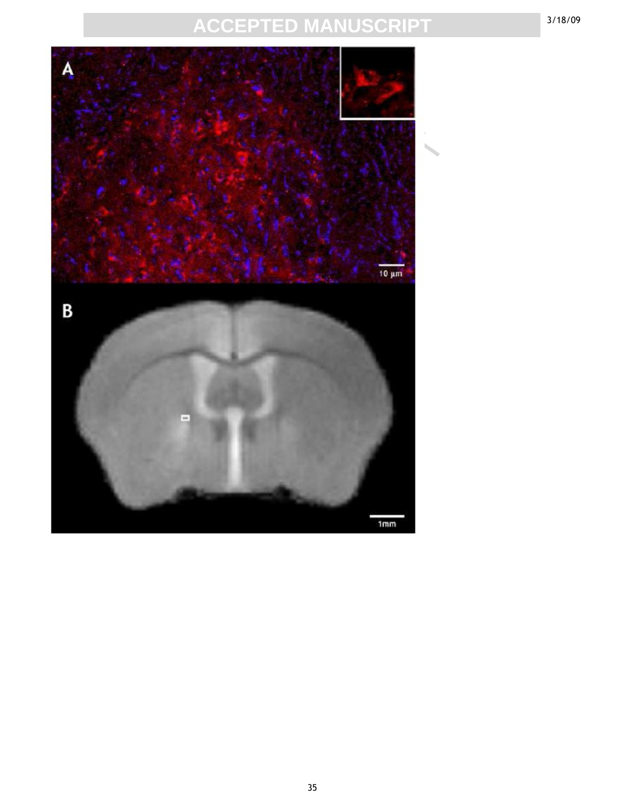3/18/09

A ACCEPTED MANUSCRIPT B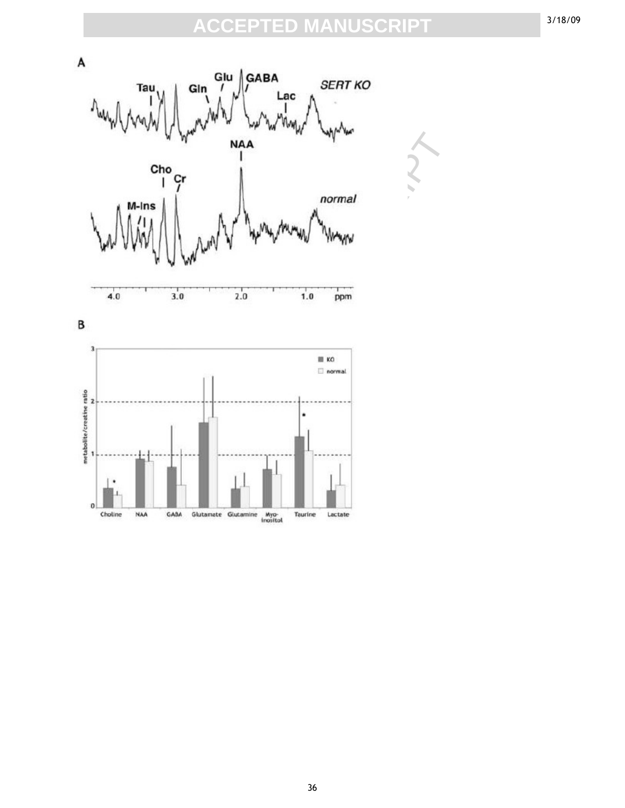3/18/09

A Glu GABA **SERT KO** Gin Tau Lac  $\begin{picture}(120,140)(-100,0) \put(0,0){\line(1,0){100}} \put(10,0){\line(1,0){100}} \put(10,0){\line(1,0){100}} \put(10,0){\line(1,0){100}} \put(10,0){\line(1,0){100}} \put(10,0){\line(1,0){100}} \put(10,0){\line(1,0){100}} \put(10,0){\line(1,0){100}} \put(10,0){\line(1,0){100}} \put(10,0){\line(1,0){100}} \put(10,0){\line($  $4.0$ B 3 metabolite/creatine ratio<br> $\frac{1}{N}$ ٠  $\mathfrak{o}$ Choline NAA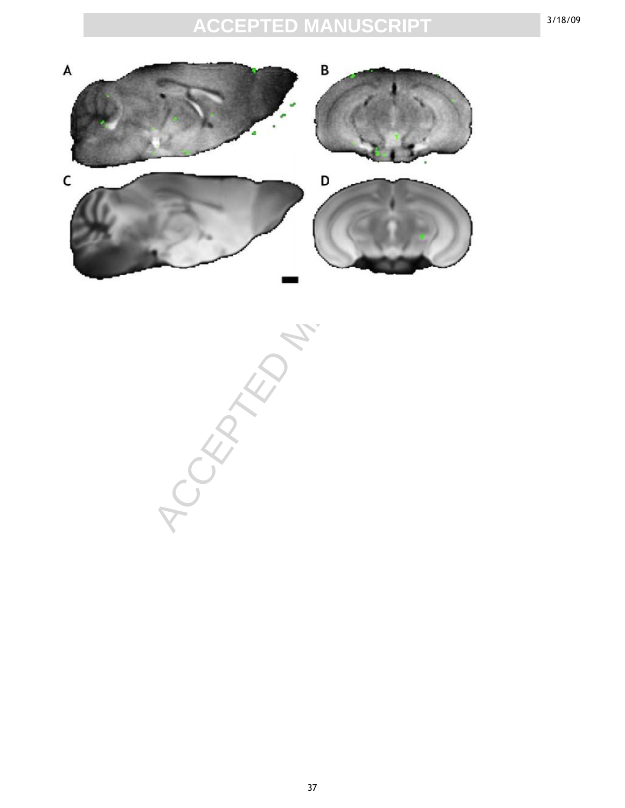

ACCEPTED MANUSCRIPT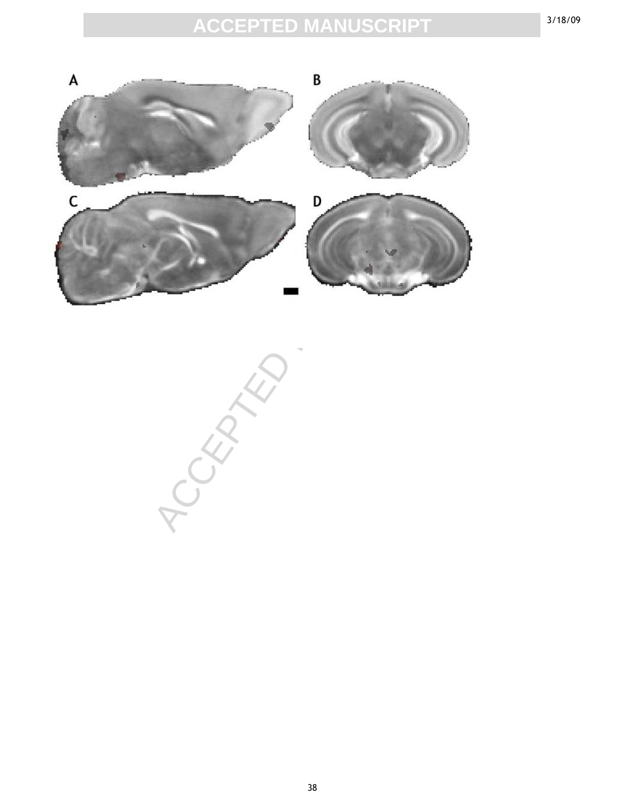

ACCEPTED MANUSCRIPT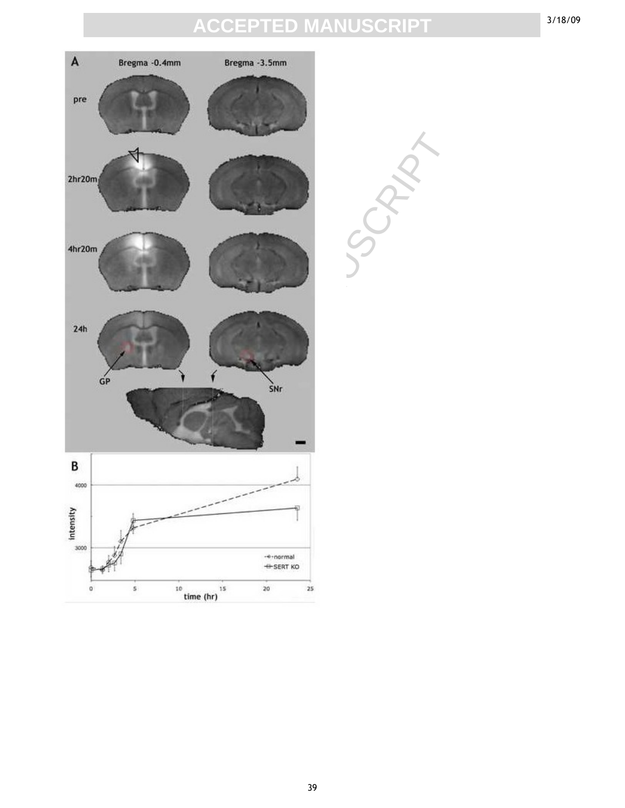3/18/09

 $\overline{A}$ Bregma -0.4mm Bregma -3.5mm pre ACCEPTED MANUSCRIPT  $2hr20m_1$  $4hr20m$  $24h$  $GP$ B 4000 intensity 3000 ++normal +SERT KO  $\frac{10}{10}$  time (hr) s 20 25  $\circ$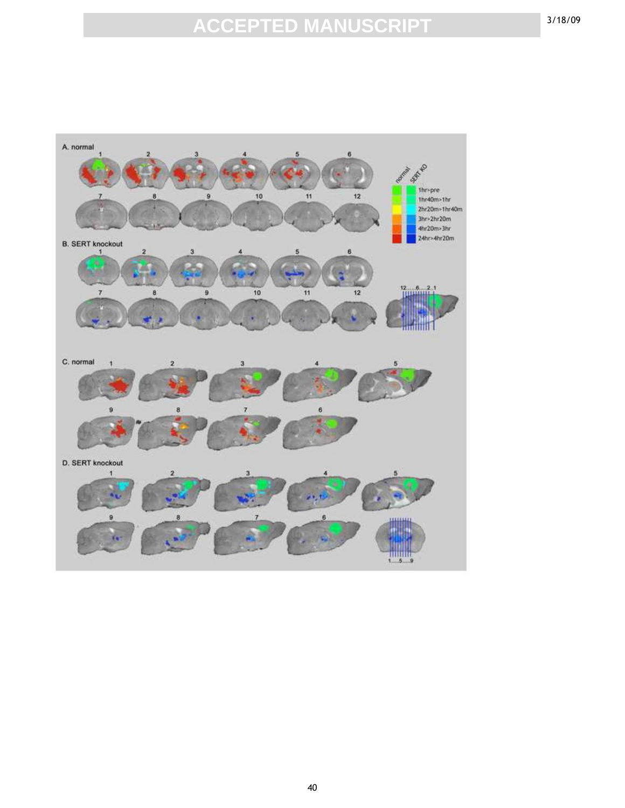